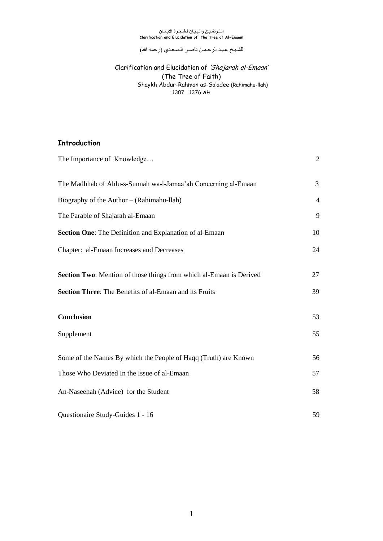للشيخ عبد الرحمن ناصر السعدي (رحمه الله)

#### Clarification and Elucidation of 'Shajarah al-Emaan' (The Tree of Faith) Shaykh Abdur-Rahman as-Sa'adee (Rahimahu-llah) 1307 – 1376 AH

#### **Introduction**

| The Importance of Knowledge                                         | $\overline{2}$ |
|---------------------------------------------------------------------|----------------|
| The Madhhab of Ahlu-s-Sunnah wa-l-Jamaa'ah Concerning al-Emaan      | 3              |
| Biography of the Author – (Rahimahu-llah)                           | $\overline{4}$ |
| The Parable of Shajarah al-Emaan                                    | 9              |
| Section One: The Definition and Explanation of al-Emaan             | 10             |
| Chapter: al-Emaan Increases and Decreases                           | 24             |
| Section Two: Mention of those things from which al-Emaan is Derived | 27             |
| <b>Section Three:</b> The Benefits of al-Emaan and its Fruits       | 39             |
| Conclusion                                                          | 53             |
| Supplement                                                          | 55             |
| Some of the Names By which the People of Haqq (Truth) are Known     | 56             |
| Those Who Deviated In the Issue of al-Emaan                         | 57             |
| An-Naseehah (Advice) for the Student                                | 58             |
| Questionaire Study-Guides 1 - 16                                    | 59             |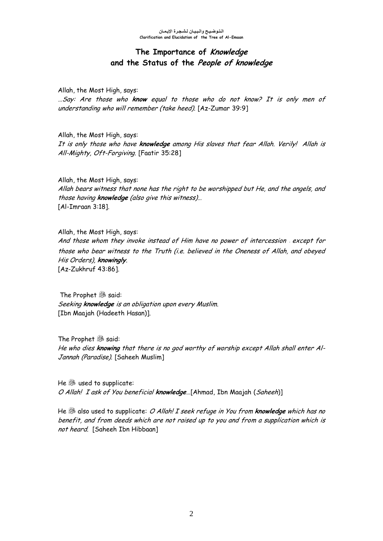#### **The Importance of Knowledge and the Status of the People of knowledge**

Allah, the Most High, says:

…Say: Are those who **know** equal to those who do not know? It is only men of understanding who will remember (take heed). [Az-Zumar 39:9]

Allah, the Most High, says: It is only those who have **knowledge** among His slaves that fear Allah. Verily! Allah is All-Mighty, Oft-Forgiving. [Faatir 35:28]

Allah, the Most High, says: Allah bears witness that none has the right to be worshipped but He, and the angels, and those having **knowledge** (also give this witness)… [Al-Imraan 3:18].

Allah, the Most High, says: And those whom they invoke instead of Him have no power of intercession <sup>ـ</sup> except for those who bear witness to the Truth (i.e. believed in the Oneness of Allah, and obeyed His Orders), **knowingly**. [Az-Zukhruf 43:86].

The Prophet Said: Seeking **knowledge** is an obligation upon every Muslim. [Ibn Maajah (Hadeeth Hasan)].

The Prophet Sessid: He who dies **knowing** that there is no god worthy of worship except Allah shall enter Al-Jannah (Paradise). [Saheeh Muslim]

He used to supplicate: O Allah! I ask of You beneficial **knowledge**…[Ahmad, Ibn Maajah (Saheeh)]

He also used to supplicate: O Allah! I seek refuge in You from **knowledge** which has no benefit, and from deeds which are not raised up to you and from a supplication which is not heard. [Saheeh Ibn Hibbaan]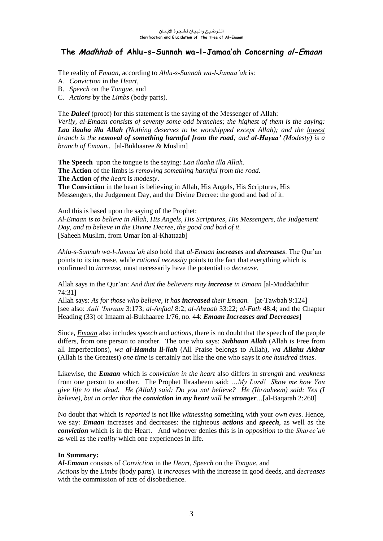#### **The Madhhab of Ahlu-s-Sunnah wa-l-Jamaa'ah Concerning al-Emaan**

The reality of *Emaan*, according to *Ahlu-s-Sunnah wa-l-Jamaa"ah* is:

- A. *Conviction* in the *Heart*,
- B. *Speech* on the *Tongue*, and
- C. *Actions* by the *Limbs* (body parts).

The *Daleel* (proof) for this statement is the saying of the Messenger of Allah: *Verily, al-Emaan consists of seventy some odd branches; the highest of them is the saying: Laa ilaaha illa Allah (Nothing deserves to be worshipped except Allah); and the lowest branch is the removal of something harmful from the road; and al-Hayaa' (Modesty) is a branch of Emaan..* [al-Bukhaaree & Muslim]

**The Speech** upon the tongue is the saying: *Laa ilaaha illa Allah*. **The Action** of the limbs is *removing something harmful from the road*. **The Action** *of the heart* is *modesty*. **The Conviction** in the heart is believing in Allah, His Angels, His Scriptures, His Messengers, the Judgement Day, and the Divine Decree: the good and bad of it.

And this is based upon the saying of the Prophet: *Al-Emaan is to believe in Allah, His Angels, His Scriptures, His Messengers, the Judgement Day, and to believe in the Divine Decree, the good and bad of it.* [Saheeh Muslim, from Umar ibn al-Khattaab]

*Ahlu-s-Sunnah wa-l-Jamaa"ah* also hold that *al-Emaan increases* and *decreases*. The Qur"an points to its increase, while *rational necessity* points to the fact that everything which is confirmed to *increase*, must necessarily have the potential to *decrease*.

Allah says in the Qur"an: *And that the believers may increase in Emaan* [al-Muddaththir 74:31]

Allah says: *As for those who believe, it has increased their Emaan.* [at-Tawbah 9:124] [see also: *Aali "Imraan* 3:173; *al-Anfaal* 8:2; *al-Ahzaab* 33:22; *al-Fath* 48:4; and the Chapter Heading (33) of Imaam al-Bukhaaree 1/76, no. 44: *Emaan Increases and Decreases*]

Since, *Emaan* also includes *speech* and *actions*, there is no doubt that the speech of the people differs, from one person to another. The one who says: *Subhaan Allah* (Allah is Free from all Imperfections), *wa al-Hamdu li-llah* (All Praise belongs to Allah)*, wa Allahu Akbar* (Allah is the Greatest) *one time* is certainly not like the one who says it *one hundred times*.

Likewise, the *Emaan* which is *conviction in the heart* also differs in *strength* and *weakness* from one person to another. The Prophet Ibraaheem said: *…My Lord! Show me how You give life to the dead. He (Allah) said: Do you not believe? He (Ibraaheem) said: Yes (I believe), but in order that the conviction in my heart will be stronger…*[al-Baqarah 2:260]

No doubt that which is *reported* is not like *witnessing* something with your *own eyes*. Hence, we say: *Emaan* increases and decreases: the righteous *actions* and *speech*, as well as the *conviction* which is in the Heart. And whoever denies this is in *opposition* to the *Sharee"ah* as well as the *reality* which one experiences in life.

#### **In Summary:**

*Al-Emaan* consists of *Conviction* in the *Heart*, *Speech* on the *Tongue*, and *Actions* by the *Limbs* (body parts). It *increases* with the increase in good deeds, and *decreases* with the commission of acts of disobedience.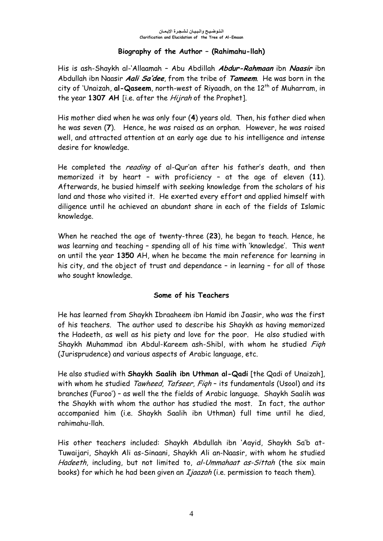#### **Biography of the Author – (Rahimahu-llah)**

His is ash-Shaykh al-'Allaamah – Abu Abdillah **Abdur-Rahmaan** ibn **Naasir** ibn Abdullah ibn Naasir **Aali Sa'dee**, from the tribe of **Tameem**. He was born in the city of 'Unaizah, **al-Qaseem**, north-west of Riyaadh, on the 12th of Muharram, in the year **1307 AH** [i.e. after the Hijrah of the Prophet].

His mother died when he was only four (**4**) years old. Then, his father died when he was seven (**7**). Hence, he was raised as an orphan. However, he was raised well, and attracted attention at an early age due to his intelligence and intense desire for knowledge.

He completed the *reading* of al-Qur'an after his father's death, and then memorized it by heart – with proficiency – at the age of eleven (**11**). Afterwards, he busied himself with seeking knowledge from the scholars of his land and those who visited it. He exerted every effort and applied himself with diligence until he achieved an abundant share in each of the fields of Islamic knowledge.

When he reached the age of twenty-three (**23**), he began to teach. Hence, he was learning and teaching – spending all of his time with 'knowledge'. This went on until the year **1350** AH, when he became the main reference for learning in his city, and the object of trust and dependance – in learning – for all of those who sought knowledge.

#### **Some of his Teachers**

He has learned from Shaykh Ibraaheem ibn Hamid ibn Jaasir, who was the first of his teachers. The author used to describe his Shaykh as having memorized the Hadeeth, as well as his piety and love for the poor. He also studied with Shaykh Muhammad ibn Abdul-Kareem ash-Shibl, with whom he studied Figh (Jurisprudence) and various aspects of Arabic language, etc.

He also studied with **Shaykh Saalih ibn Uthman al-Qadi** [the Qadi of Unaizah], with whom he studied Tawheed, Tafseer, Figh - its fundamentals (Usool) and its branches (Furoo') – as well the the fields of Arabic language. Shaykh Saalih was the Shaykh with whom the author has studied the most. In fact, the author accompanied him (i.e. Shaykh Saalih ibn Uthman) full time until he died, rahimahu-llah.

His other teachers included: Shaykh Abdullah ibn 'Aayid, Shaykh Sa'b at-Tuwaijari, Shaykh Ali as-Sinaani, Shaykh Ali an-Naasir, with whom he studied Hadeeth, including, but not limited to, al-Ummahaat as-Sittah (the six main books) for which he had been given an *Ijaazah* (i.e. permission to teach them).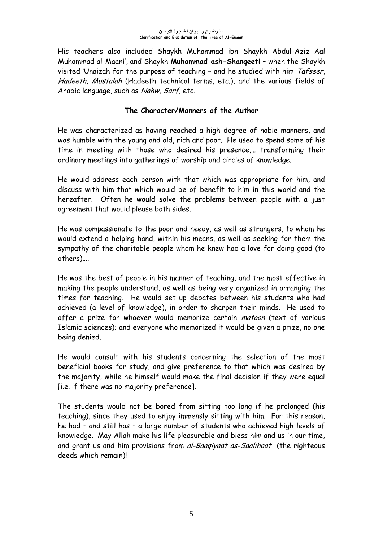His teachers also included Shaykh Muhammad ibn Shaykh Abdul-Aziz Aal Muhammad al-Maani', and Shaykh **Muhammad ash-Shanqeeti** – when the Shaykh visited 'Unaizah for the purpose of teaching – and he studied with him Tafseer, Hadeeth, Mustalah (Hadeeth technical terms, etc.), and the various fields of Arabic language, such as Nahw, Sarf, etc.

#### **The Character/Manners of the Author**

He was characterized as having reached a high degree of noble manners, and was humble with the young and old, rich and poor. He used to spend some of his time in meeting with those who desired his presence,… transforming their ordinary meetings into gatherings of worship and circles of knowledge.

He would address each person with that which was appropriate for him, and discuss with him that which would be of benefit to him in this world and the hereafter. Often he would solve the problems between people with a just agreement that would please both sides.

He was compassionate to the poor and needy, as well as strangers, to whom he would extend a helping hand, within his means, as well as seeking for them the sympathy of the charitable people whom he knew had a love for doing good (to others)….

He was the best of people in his manner of teaching, and the most effective in making the people understand, as well as being very organized in arranging the times for teaching. He would set up debates between his students who had achieved (a level of knowledge), in order to sharpen their minds. He used to offer a prize for whoever would memorize certain *matoon* (text of various Islamic sciences); and everyone who memorized it would be given a prize, no one being denied.

He would consult with his students concerning the selection of the most beneficial books for study, and give preference to that which was desired by the majority, while he himself would make the final decision if they were equal [i.e. if there was no majority preference].

The students would not be bored from sitting too long if he prolonged (his teaching), since they used to enjoy immensly sitting with him. For this reason, he had – and still has – a large number of students who achieved high levels of knowledge. May Allah make his life pleasurable and bless him and us in our time, and grant us and him provisions from al-Baagiyaat as-Saalihaat (the righteous deeds which remain)!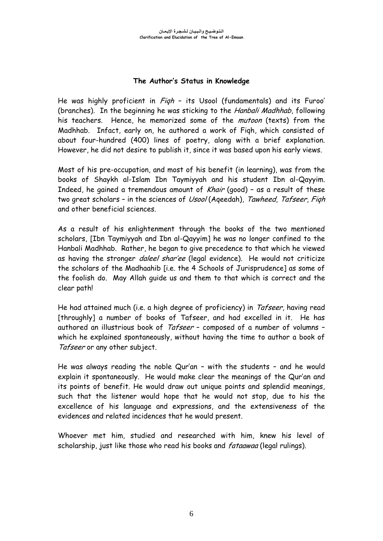#### **The Author's Status in Knowledge**

He was highly proficient in *Figh -* its Usool (fundamentals) and its Furoo' (branches). In the beginning he was sticking to the Hanbali Madhhab, following his teachers. Hence, he memorized some of the *mutoon* (texts) from the Madhhab. Infact, early on, he authored a work of Fiqh, which consisted of about four-hundred (400) lines of poetry, along with a brief explanation. However, he did not desire to publish it, since it was based upon his early views.

Most of his pre-occupation, and most of his benefit (in learning), was from the books of Shaykh al-Islam Ibn Taymiyyah and his student Ibn al-Qayyim. Indeed, he gained a tremendous amount of Khair (good) - as a result of these two great scholars - in the sciences of Usool (Ageedah), Tawheed, Tafseer, Figh and other beneficial sciences.

As a result of his enlightenment through the books of the two mentioned scholars, [Ibn Taymiyyah and Ibn al-Qayyim] he was no longer confined to the Hanbali Madhhab. Rather, he began to give precedence to that which he viewed as having the stronger *daleel shar'ee* (legal evidence). He would not criticize the scholars of the Madhaahib [i.e. the 4 Schools of Jurisprudence] as some of the foolish do. May Allah guide us and them to that which is correct and the clear path!

He had attained much (i.e. a high degree of proficiency) in Tafseer, having read [throughly] a number of books of Tafseer, and had excelled in it. He has authored an illustrious book of Tafseer - composed of a number of volumns which he explained spontaneously, without having the time to author a book of Tafseer or any other subject.

He was always reading the noble Qur'an – with the students – and he would explain it spontaneously. He would make clear the meanings of the Qur'an and its points of benefit. He would draw out unique points and splendid meanings, such that the listener would hope that he would not stop, due to his the excellence of his language and expressions, and the extensiveness of the evidences and related incidences that he would present.

Whoever met him, studied and researched with him, knew his level of scholarship, just like those who read his books and *fataawaa* (legal rulings).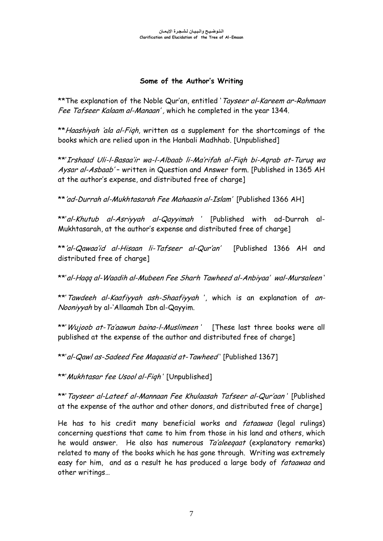#### **Some of the Author's Writing**

\*\*The explanation of the Noble Qur'an, entitled 'Tayseer al-Kareem ar-Rahmaan Fee Tafseer Kalaam al-Manaan' , which he completed in the year 1344.

\*\* Haashiyah 'ala al-Figh, written as a supplement for the shortcomings of the books which are relied upon in the Hanbali Madhhab. [Unpublished]

\*\*'Irshaad Uli-l-Basaa'ir wa-l-Albaab li-Ma'rifah al-Fiqh bi-Aqrab at-Turuq wa Aysar al-Asbaab' - written in Question and Answer form. [Published in 1365 AH at the author's expense, and distributed free of charge]

\*\*'ad-Durrah al-Mukhtasarah Fee Mahaasin al-Islam' [Published 1366 AH]

\*\*'al-Khutub al-Asriyyah al-Qayyimah ' [Published with ad-Durrah al-Mukhtasarah, at the author's expense and distributed free of charge]

\*\*'al-Qawaa'id al-Hisaan li-Tafseer al-Qur'an' [Published 1366 AH and distributed free of charge]

\*\*'al-Haqq al-Waadih al-Mubeen Fee Sharh Tawheed al-Anbiyaa' wal-Mursaleen '

\*\*'Tawdeeh al-Kaafiyyah ash-Shaafiyyah ', which is an explanation of an-Nooniyyah by al-'Allaamah Ibn al-Qayyim.

\*\*'Wujoob at-Ta'aawun baina-l-Muslimeen ' [These last three books were all published at the expense of the author and distributed free of charge]

\*\*'al-Qawl as-Sadeed Fee Maqaasid at-Tawheed ' [Published 1367]

\*\*' Mukhtasar fee Usool al-Figh' [Unpublished]

\*\*'Tayseer al-Lateef al-Mannaan Fee Khulaasah Tafseer al-Qur'aan ' [Published at the expense of the author and other donors, and distributed free of charge]

He has to his credit many beneficial works and *fataawaa* (legal rulings) concerning questions that came to him from those in his land and others, which he would answer. He also has numerous Ta'aleegaat (explanatory remarks) related to many of the books which he has gone through. Writing was extremely easy for him, and as a result he has produced a large body of fataawaa and other writings…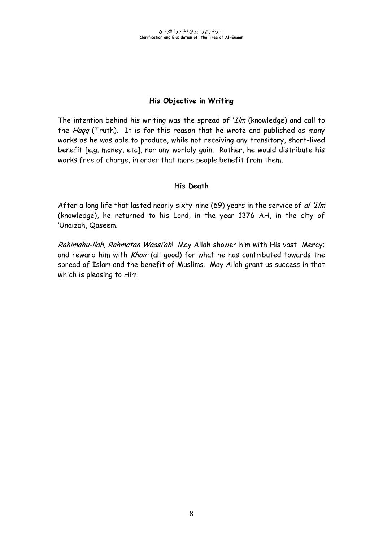#### **His Objective in Writing**

The intention behind his writing was the spread of 'Ilm (knowledge) and call to the *Hagg* (Truth). It is for this reason that he wrote and published as many works as he was able to produce, while not receiving any transitory, short-lived benefit [e.g. money, etc], nor any worldly gain. Rather, he would distribute his works free of charge, in order that more people benefit from them.

#### **His Death**

After a long life that lasted nearly sixty-nine (69) years in the service of al-'Ilm (knowledge), he returned to his Lord, in the year 1376 AH, in the city of 'Unaizah, Qaseem.

Rahimahu-llah, Rahmatan Waasi'ah! May Allah shower him with His vast Mercy; and reward him with Khair (all good) for what he has contributed towards the spread of Islam and the benefit of Muslims. May Allah grant us success in that which is pleasing to Him.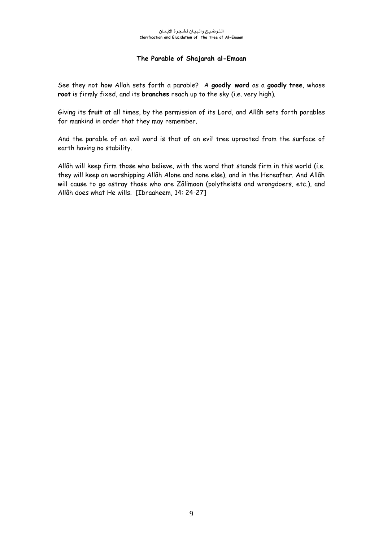#### **The Parable of Shajarah al-Emaan**

See they not how Allah sets forth a parable? A **goodly word** as a **goodly tree**, whose **root** is firmly fixed, and its **branches** reach up to the sky (i.e. very high).

Giving its **fruit** at all times, by the permission of its Lord, and Allâh sets forth parables for mankind in order that they may remember.

And the parable of an evil word is that of an evil tree uprooted from the surface of earth having no stability.

Allâh will keep firm those who believe, with the word that stands firm in this world (i.e. they will keep on worshipping Allâh Alone and none else), and in the Hereafter. And Allâh will cause to go astray those who are Zâlimoon (polytheists and wrongdoers, etc.), and Allâh does what He wills. [Ibraaheem, 14: 24-27]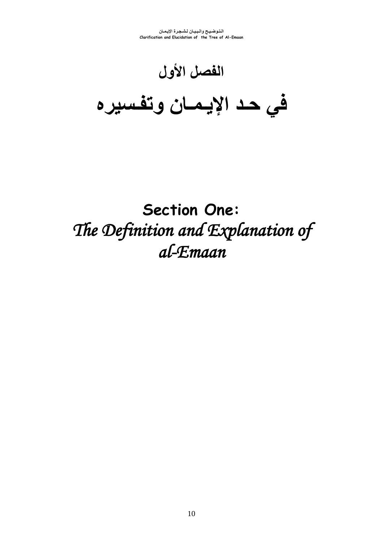# **الفصل األول**

**في حـد اإليـمـان وتفـسيره** 

## **Section One:** *The Definition and Explanation of al-Emaan*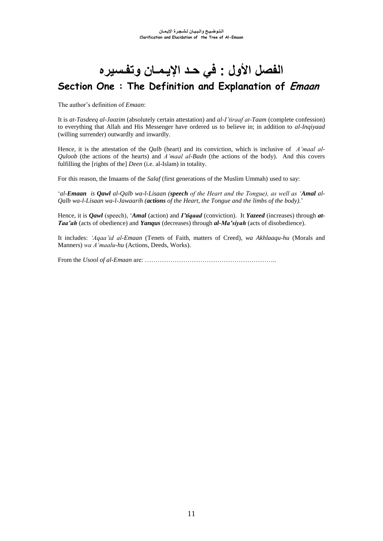## **الفصل األول : في حـد اإليـمـان وتفـسيره**

### **Section One : The Definition and Explanation of Emaan**

The author"s definition of *Emaan*:

It is *at-Tasdeeq al-Jaazim* (absolutely certain attestation) and *al-I"tiraaf at-Taam* (complete confession) to everything that Allah and His Messenger have ordered us to believe in; in addition to *al-Inqiyaad* (willing surrender) outwardly and inwardly.

Hence, it is the attestation of the *Qalb* (heart) and its conviction, which is inclusive of *A"maal al-Quloob* (the actions of the hearts) and *A"maal al-Badn* (the actions of the body). And this covers fulfilling the [rights of the] *Deen* (i.e. al-Islam) in totality.

For this reason, the Imaams of the *Salaf* (first generations of the Muslim Ummah) used to say:

"*al-Emaan is Qawl al-Qalb wa-l-Lisaan (speech of the Heart and the Tongue), as well as "Amal al-Qalb wa-l-Lisaan wa-l-Jawaarih (actions of the Heart, the Tongue and the limbs of the body).*"

Hence, it is *Qawl* (speech), "*Amal* (action) and *I'tiqaad* (conviction). It *Yazeed* (increases) through *at-Taa'ah* (acts of obedience) and *Yanqus* (decreases) through *al-Ma'siyah* (acts of disobedience).

It includes: *"Aqaa"id al-Emaan* (Tenets of Faith, matters of Creed), *wa Akhlaaqu-hu* (Morals and Manners) *wa A"maalu-hu* (Actions, Deeds, Works).

From the *Usool of al-Emaan* are: ……………………………………………………..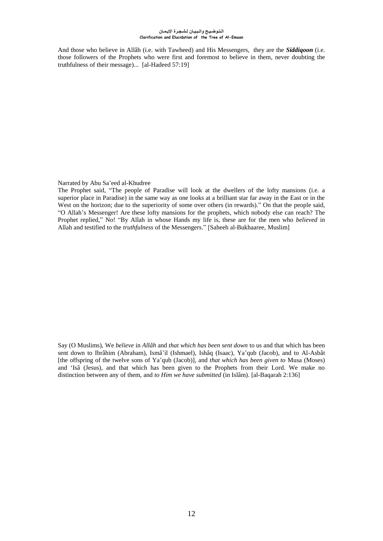And those who believe in Allâh (i.e. with Tawheed) and His Messengers, they are the *Siddiqoon* (i.e. those followers of the Prophets who were first and foremost to believe in them, never doubting the truthfulness of their message)... [al-Hadeed 57:19]

#### Narrated by Abu Sa"eed al-Khudree

The Prophet said, "The people of Paradise will look at the dwellers of the lofty mansions (i.e. a superior place in Paradise) in the same way as one looks at a brilliant star far away in the East or in the West on the horizon; due to the superiority of some over others (in rewards)." On that the people said, "O Allah"s Messenger! Are these lofty mansions for the prophets, which nobody else can reach? The Prophet replied," No! "By Allah in whose Hands my life is, these are for the men who *believed* in Allah and testified to the *truthfulness* of the Messengers." [Saheeh al-Bukhaaree, Muslim]

Say (O Muslims), We *believe* in *Allâh* and *that which has been sent down* to us and that which has been sent down to Ibrâhim (Abraham), Ismâ"il (Ishmael), Ishâq (Isaac), Ya"qub (Jacob), and to Al-Asbât [the offspring of the twelve sons of Ya"qub (Jacob)], and *that which has been given to* Musa (Moses) and "Isâ (Jesus), and that which has been given to the Prophets from their Lord. We make no distinction between any of them, and *to Him we have submitted* (in Islâm). [al-Baqarah 2:136]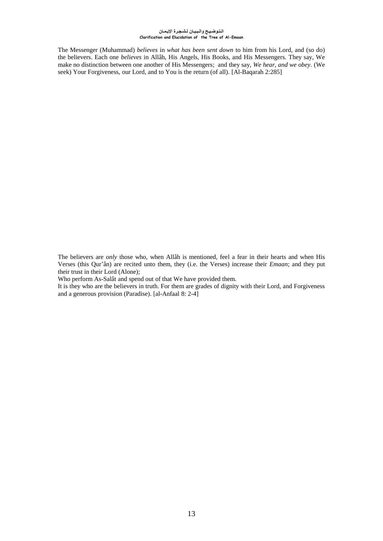The Messenger (Muhammad) *believes* in *what has been sent down* to him from his Lord, and (so do) the believers. Each one *believes* in Allâh, His Angels, His Books, and His Messengers. They say, We make no distinction between one another of His Messengers; and they say, *We hear, and we obey*. (We seek) Your Forgiveness, our Lord, and to You is the return (of all). [Al-Baqarah 2:285]

The believers are *only* those who, when Allâh is mentioned, feel a fear in their hearts and when His Verses (this Qur"ân) are recited unto them, they (i.e. the Verses) increase their *Emaan*; and they put their trust in their Lord (Alone);

Who perform As-Salât and spend out of that We have provided them.

It is they who are the believers in truth. For them are grades of dignity with their Lord, and Forgiveness and a generous provision (Paradise). [al-Anfaal 8: 2-4]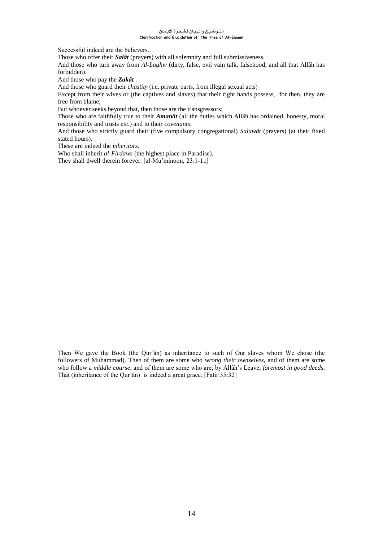Successful indeed are the believers…

Those who offer their *Salât* (prayers) with all solemnity and full submissiveness.

And those who turn away from *Al-Laghw* (dirty, false, evil vain talk, falsehood, and all that Allâh has forbidden).

And those who pay the *Zakât* .

And those who guard their *chastity* (i.e. private parts, from illegal sexual acts)

Except from their wives or (the captives and slaves) that their right hands possess, for then, they are free from blame;

But whoever seeks beyond that, then those are the transgressors;

Those who are faithfully true to their *Amanât* (all the duties which Allâh has ordained, honesty, moral responsibility and trusts etc.) and to their *covenants*;

And those who strictly guard their (five compulsory congregational) *Salawât* (prayers) (at their fixed stated hours).

These are indeed the *inheritors*.

Who shall inherit *al-Firdaws* (the highest place in Paradise).

They shall dwell therein forever. [al-Mu'minoon, 23:1-11]

Then We gave the Book (the Qur"ân) as inheritance to such of Our slaves whom We chose (the followers of Muhammad). Then of them are some who *wrong their ownselves,* and of them are some who follow a *middle course*, and of them are some who are, by Allâh"s Leave, *foremost in good deeds*. That (inheritance of the Qur'ân) is indeed a great grace. [Fatir 35:32]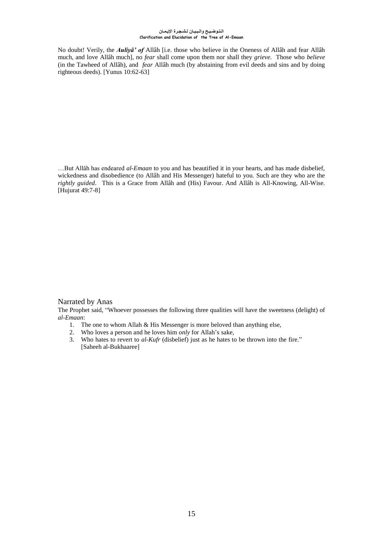No doubt! Verily, the *Auliyâ' of* Allâh [i.e. those who believe in the Oneness of Allâh and fear Allâh much, and love Allâh much], no *fear* shall come upon them nor shall they *grieve.* Those who *believe* (in the Tawheed of Allâh), and *fear* Allâh much (by abstaining from evil deeds and sins and by doing righteous deeds). [Yunus 10:62-63]

…But Allâh has endeared *al-Emaan* to you and has beautified it in your hearts, and has made disbelief, wickedness and disobedience (to Allâh and His Messenger) hateful to you. Such are they who are the *rightly guided*. This is a Grace from Allâh and (His) Favour. And Allâh is All-Knowing, All-Wise. [Hujurat 49:7-8]

#### Narrated by Anas

The Prophet said, "Whoever possesses the following three qualities will have the sweetness (delight) of *al-Emaan*:

- 1. The one to whom Allah & His Messenger is more beloved than anything else,
- 2. Who loves a person and he loves him *only* for Allah"s sake,
- 3. Who hates to revert to *al-Kufr* (disbelief) just as he hates to be thrown into the fire." [Saheeh al-Bukhaaree]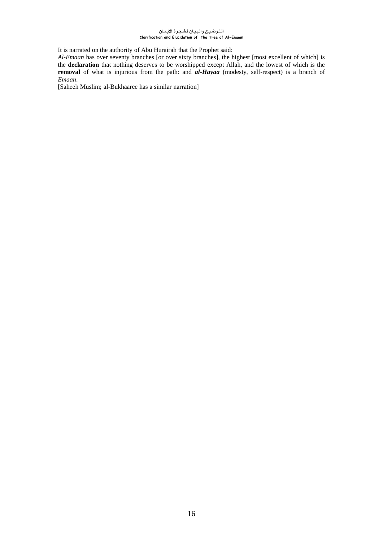It is narrated on the authority of Abu Hurairah that the Prophet said:

*Al-Emaan* has over seventy branches [or over sixty branches], the highest [most excellent of which] is the **declaration** that nothing deserves to be worshipped except Allah, and the lowest of which is the **removal** of what is injurious from the path: and *al-Hayaa* (modesty, self-respect) is a branch of *Emaan*.

[Saheeh Muslim; al-Bukhaaree has a similar narration]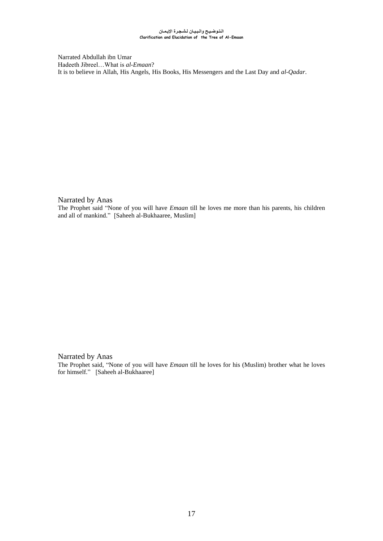Narrated Abdullah ibn Umar Hadeeth Jibreel…What is *al-Emaan*? It is to believe in Allah, His Angels, His Books, His Messengers and the Last Day and *al-Qadar*.

Narrated by Anas

The Prophet said "None of you will have *Emaan* till he loves me more than his parents, his children and all of mankind." [Saheeh al-Bukhaaree, Muslim]

Narrated by Anas

The Prophet said, "None of you will have *Emaan* till he loves for his (Muslim) brother what he loves for himself." [Saheeh al-Bukhaaree]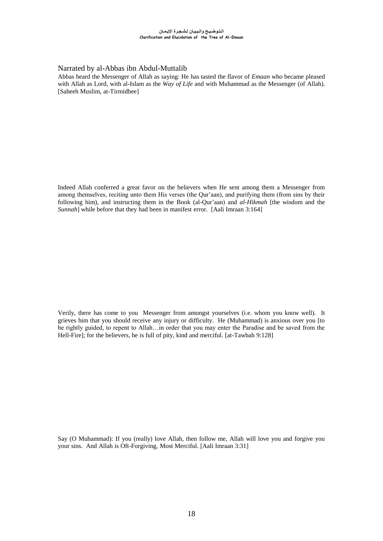#### Narrated by al-Abbas ibn Abdul-Muttalib

Abbas heard the Messenger of Allah as saying: He has tasted the flavor of *Emaan* who became pleased with Allah as Lord, with al-Islam as the *Way of Life* and with Muhammad as the Messenger (of Allah). [Saheeh Muslim, at-Tirmidhee]

Indeed Allah conferred a great favor on the believers when He sent among them a Messenger from among themselves, reciting unto them His verses (the Qur"aan), and purifying them (from sins by their following him), and instructing them in the Book (al-Qur"aan) and *al-Hikmah* [the wisdom and the *Sunnah*] while before that they had been in manifest error. [Aali Imraan 3:164]

Verily, there has come to you Messenger from amongst yourselves (i.e. whom you know well). It grieves him that you should receive any injury or difficulty. He (Muhammad) is anxious over you [to be rightly guided, to repent to Allah…in order that you may enter the Paradise and be saved from the Hell-Fire]; for the believers, he is full of pity, kind and merciful. [at-Tawbah 9:128]

Say (O Muhammad): If you (really) love Allah, then follow me, Allah will love you and forgive you your sins. And Allah is Oft-Forgiving, Most Merciful. [Aali Imraan 3:31]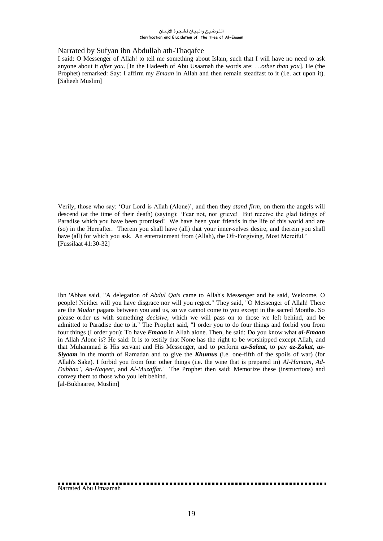#### Narrated by Sufyan ibn Abdullah ath-Thaqafee

I said: O Messenger of Allah! to tell me something about Islam, such that I will have no need to ask anyone about it *after you*. [In the Hadeeth of Abu Usaamah the words are: …*other than you*]. He (the Prophet) remarked: Say: I affirm my *Emaan* in Allah and then remain steadfast to it (i.e. act upon it). [Saheeh Muslim]

Verily, those who say: "Our Lord is Allah (Alone)", and then they *stand firm*, on them the angels will descend (at the time of their death) (saying): "Fear not, nor grieve! But receive the glad tidings of Paradise which you have been promised! We have been your friends in the life of this world and are (so) in the Hereafter. Therein you shall have (all) that your inner-selves desire, and therein you shall have (all) for which you ask. An entertainment from (Allah), the Oft-Forgiving, Most Merciful." [Fussilaat 41:30-32]

Ibn 'Abbas said, "A delegation of *Abdul Qais* came to Allah's Messenger and he said, Welcome, O people! Neither will you have disgrace nor will you regret." They said, "O Messenger of Allah! There are the *Mudar* pagans between you and us, so we cannot come to you except in the sacred Months. So please order us with something *decisive*, which we will pass on to those we left behind, and be admitted to Paradise due to it." The Prophet said, "I order you to do four things and forbid you from four things (I order you): To have *Emaan* in Allah alone. Then, he said: Do you know what *al-Emaan* in Allah Alone is? He said: It is to testify that None has the right to be worshipped except Allah, and that Muhammad is His servant and His Messenger, and to perform *as-Salaat*, to pay *az-Zakat*, *as-Siyaam* in the month of Ramadan and to give the *Khumus* (i.e. one-fifth of the spoils of war) (for Allah's Sake). I forbid you from four other things (i.e. the wine that is prepared in) *Al-Hantam*, *Ad-Dubbaa"*, *An-Naqeer,* and *Al-Muzaffat*.' The Prophet then said: Memorize these (instructions) and convey them to those who you left behind. [al-Bukhaaree, Muslim]

Narrated Abu Umaamah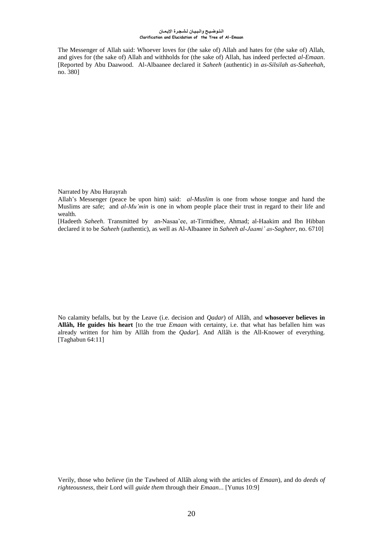The Messenger of Allah said: Whoever loves for (the sake of) Allah and hates for (the sake of) Allah, and gives for (the sake of) Allah and withholds for (the sake of) Allah, has indeed perfected *al-Emaan*. [Reported by Abu Daawood. Al-Albaanee declared it *Saheeh* (authentic) in *as-Silsilah as-Saheehah*, no. 380]

Narrated by Abu Hurayrah

Allah"s Messenger (peace be upon him) said: *al-Muslim* is one from whose tongue and hand the Muslims are safe; and *al-Mu"min* is one in whom people place their trust in regard to their life and wealth.

[Hadeeth *Saheeh*. Transmitted by an-Nasaa"ee, at-Tirmidhee, Ahmad; al-Haakim and Ibn Hibban declared it to be *Saheeh* (authentic), as well as Al-Albaanee in *Saheeh al-Jaami" as-Sagheer*, no. 6710]

No calamity befalls, but by the Leave (i.e. decision and *Qadar*) of Allâh, and **whosoever believes in Allâh, He guides his heart** [to the true *Emaan* with certainty, i.e. that what has befallen him was already written for him by Allâh from the *Qadar*]. And Allâh is the All-Knower of everything. [Taghabun 64:11]

Verily, those who *believe* (in the Tawheed of Allâh along with the articles of *Emaan*), and do *deeds of righteousness*, their Lord will *guide them* through their *Emaan..*. [Yunus 10:9]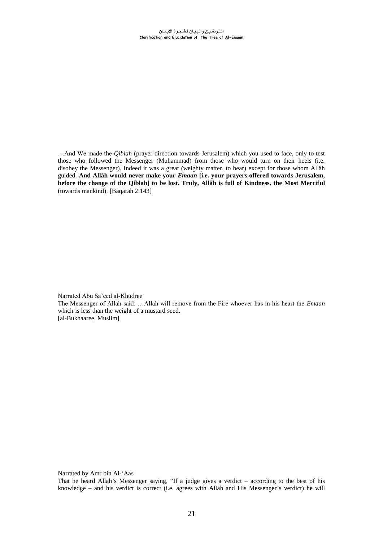…And We made the *Qiblah* (prayer direction towards Jerusalem) which you used to face, only to test those who followed the Messenger (Muhammad) from those who would turn on their heels (i.e. disobey the Messenger). Indeed it was a great (weighty matter, to bear) except for those whom Allâh guided. **And Allâh would never make your** *Emaan* **[i.e. your prayers offered towards Jerusalem, before the change of the Qiblah] to be lost. Truly, Allâh is full of Kindness, the Most Merciful** (towards mankind). [Baqarah 2:143]

Narrated Abu Sa"eed al-Khudree

The Messenger of Allah said: …Allah will remove from the Fire whoever has in his heart the *Emaan* which is less than the weight of a mustard seed. [al-Bukhaaree, Muslim]

Narrated by Amr bin Al-"Aas

That he heard Allah"s Messenger saying, "If a judge gives a verdict – according to the best of his knowledge – and his verdict is correct (i.e. agrees with Allah and His Messenger"s verdict) he will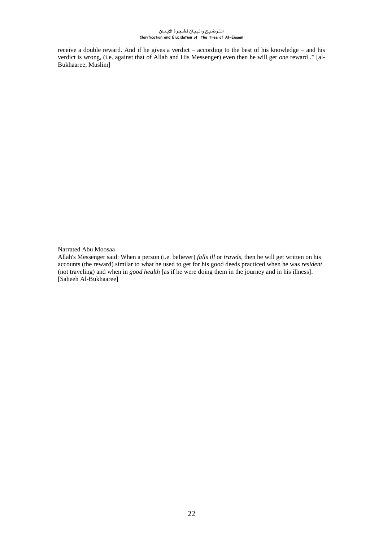receive a double reward. And if he gives a verdict – according to the best of his knowledge – and his verdict is wrong, (i.e. against that of Allah and His Messenger) even then he will get *one* reward ." [al-Bukhaaree, Muslim]

Narrated Abu Moosaa

Allah's Messenger said: When a person (i.e. believer) *falls ill* or *travels*, then he will get written on his accounts (the reward) similar to what he used to get for his good deeds practiced when he was *resident* (not traveling) and when in *good health* [as if he were doing them in the journey and in his illness]. [Saheeh Al-Bukhaaree]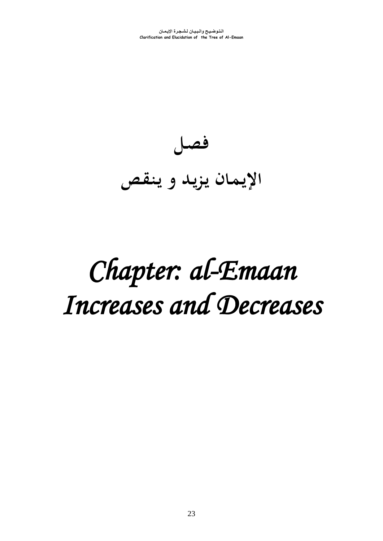## **فـصـل اإليـمـان يـزيـد و يـنـقـص**

# *Chapter: al-Emaan Increases and Decreases*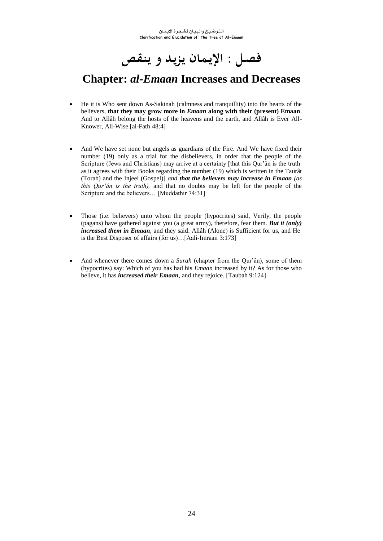## **فـصـل : اإليـمـان يـزيـد و يـنـقـص**

### **Chapter:** *al-Emaan* **Increases and Decreases**

- He it is Who sent down As-Sakinah (calmness and tranquillity) into the hearts of the believers, **that they may grow more in** *Emaan* **along with their (present) Emaan**. And to Allâh belong the hosts of the heavens and the earth, and Allâh is Ever All-Knower, All-Wise.[al-Fath 48:4]
- And We have set none but angels as guardians of the Fire. And We have fixed their number (19) only as a trial for the disbelievers, in order that the people of the Scripture (Jews and Christians) may arrive at a certainty [that this Qur'ân is the truth as it agrees with their Books regarding the number (19) which is written in the Taurât (Torah) and the Injeel (Gospel)] *and that the believers may increase in Emaan (as this Qur"ân is the truth),* and that no doubts may be left for the people of the Scripture and the believers… [Muddathir 74:31]
- Those (i.e. believers) unto whom the people (hypocrites) said, Verily, the people (pagans) have gathered against you (a great army), therefore, fear them. *But it (only) increased them in Emaan*, and they said: Allâh (Alone) is Sufficient for us, and He is the Best Disposer of affairs (for us)…[Aali-Imraan 3:173]
- And whenever there comes down a *Surah* (chapter from the Qur'ân), some of them (hypocrites) say: Which of you has had his *Emaan* increased by it? As for those who believe, it has *increased their Emaan*, and they rejoice. [Taubah 9:124]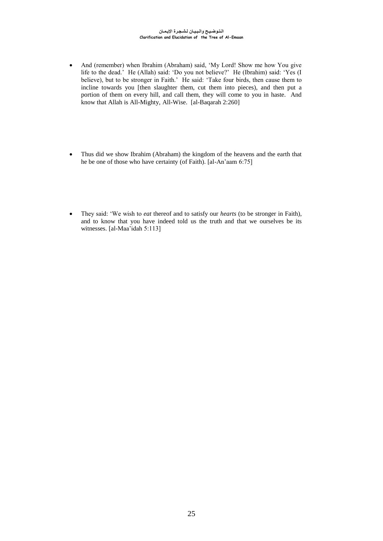- And (remember) when Ibrahim (Abraham) said, "My Lord! Show me how You give life to the dead." He (Allah) said: "Do you not believe?" He (Ibrahim) said: "Yes (I believe), but to be stronger in Faith.' He said: 'Take four birds, then cause them to incline towards you [then slaughter them, cut them into pieces), and then put a portion of them on every hill, and call them, they will come to you in haste. And know that Allah is All-Mighty, All-Wise. [al-Baqarah 2:260]
- Thus did we show Ibrahim (Abraham) the kingdom of the heavens and the earth that he be one of those who have certainty (of Faith). [al-An'aam 6:75]
- They said: "We wish to *eat* thereof and to satisfy our *hearts* (to be stronger in Faith), and to know that you have indeed told us the truth and that we ourselves be its witnesses. [al-Maa'idah 5:113]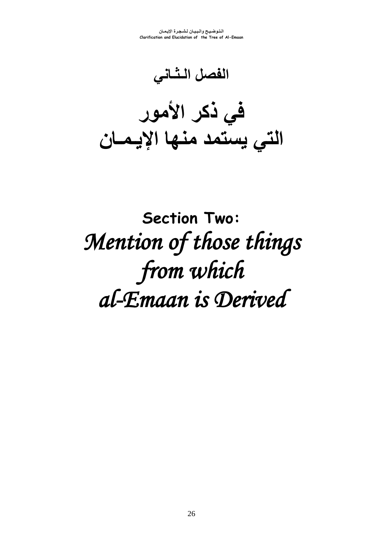



## **Section Two:** *Mention of those things from which al-Emaan is Derived*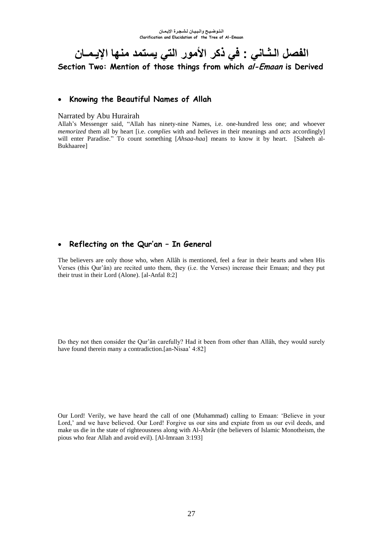**الفصل الـثـاني : في ذكر األمور التي يستمد منها اإليـمـان** 

**Section Two: Mention of those things from which al-Emaan is Derived**

#### **Knowing the Beautiful Names of Allah**

#### Narrated by Abu Hurairah

Allah"s Messenger said, "Allah has ninety-nine Names, i.e. one-hundred less one; and whoever *memorized* them all by heart [i.e. *complies* with and *believes* in their meanings and *acts* accordingly] will enter Paradise." To count something [*Ahsaa-haa*] means to know it by heart. [Saheeh al-Bukhaaree]

#### **Reflecting on the Qur'an – In General**

The believers are only those who, when Allâh is mentioned, feel a fear in their hearts and when His Verses (this Qur"ân) are recited unto them, they (i.e. the Verses) increase their Emaan; and they put their trust in their Lord (Alone). [al-Anfal 8:2]

Do they not then consider the Qur"ân carefully? Had it been from other than Allâh, they would surely have found therein many a contradiction.[an-Nisaa' 4:82]

Our Lord! Verily, we have heard the call of one (Muhammad) calling to Emaan: "Believe in your Lord,' and we have believed. Our Lord! Forgive us our sins and expiate from us our evil deeds, and make us die in the state of righteousness along with Al-Abrâr (the believers of Islamic Monotheism, the pious who fear Allah and avoid evil). [Al-Imraan 3:193]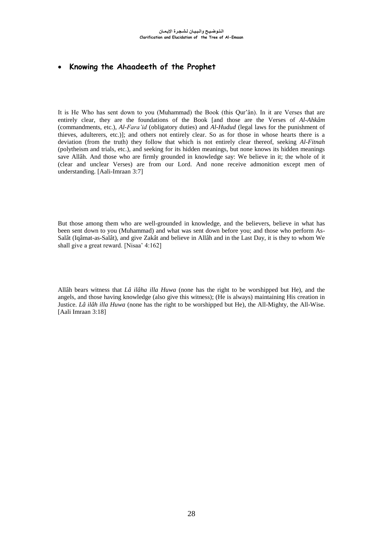#### **Knowing the Ahaadeeth of the Prophet**

It is He Who has sent down to you (Muhammad) the Book (this Qur"ân). In it are Verses that are entirely clear, they are the foundations of the Book [and those are the Verses of *Al-Ahkâm* (commandments, etc.), *Al-Fara"id* (obligatory duties) and *Al-Hudud* (legal laws for the punishment of thieves, adulterers, etc.)]; and others not entirely clear. So as for those in whose hearts there is a deviation (from the truth) they follow that which is not entirely clear thereof, seeking *Al-Fitnah* (polytheism and trials, etc.), and seeking for its hidden meanings, but none knows its hidden meanings save Allâh. And those who are firmly grounded in knowledge say: We believe in it; the whole of it (clear and unclear Verses) are from our Lord. And none receive admonition except men of understanding. [Aali-Imraan 3:7]

But those among them who are well-grounded in knowledge, and the believers, believe in what has been sent down to you (Muhammad) and what was sent down before you; and those who perform As-Salât (Iqâmat-as-Salât), and give Zakât and believe in Allâh and in the Last Day, it is they to whom We shall give a great reward. [Nisaa' 4:162]

Allâh bears witness that *Lâ ilâha illa Huwa* (none has the right to be worshipped but He), and the angels, and those having knowledge (also give this witness); (He is always) maintaining His creation in Justice. *Lâ ilâh illa Huwa* (none has the right to be worshipped but He), the All-Mighty, the All-Wise. [Aali Imraan 3:18]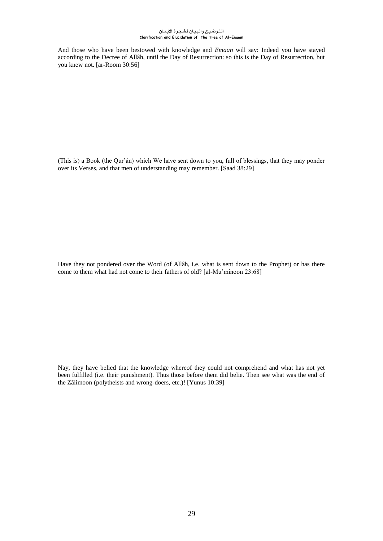And those who have been bestowed with knowledge and *Emaan* will say: Indeed you have stayed according to the Decree of Allâh, until the Day of Resurrection: so this is the Day of Resurrection, but you knew not. [ar-Room 30:56]

(This is) a Book (the Qur"ân) which We have sent down to you, full of blessings, that they may ponder over its Verses, and that men of understanding may remember. [Saad 38:29]

Have they not pondered over the Word (of Allâh, i.e. what is sent down to the Prophet) or has there come to them what had not come to their fathers of old? [al-Mu"minoon 23:68]

Nay, they have belied that the knowledge whereof they could not comprehend and what has not yet been fulfilled (i.e. their punishment). Thus those before them did belie. Then see what was the end of the Zâlimoon (polytheists and wrong-doers, etc.)! [Yunus 10:39]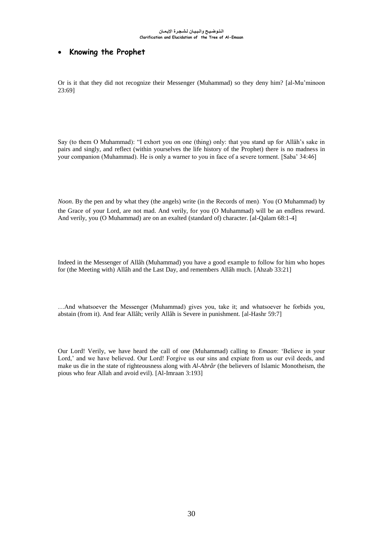#### **Knowing the Prophet**

Or is it that they did not recognize their Messenger (Muhammad) so they deny him? [al-Mu"minoon 23:69]

Say (to them O Muhammad): "I exhort you on one (thing) only: that you stand up for Allâh"s sake in pairs and singly, and reflect (within yourselves the life history of the Prophet) there is no madness in your companion (Muhammad). He is only a warner to you in face of a severe torment. [Saba" 34:46]

*Noon*. By the pen and by what they (the angels) write (in the Records of men). You (O Muhammad) by the Grace of your Lord, are not mad. And verily, for you (O Muhammad) will be an endless reward. And verily, you (O Muhammad) are on an exalted (standard of) character. [al-Qalam 68:1-4]

Indeed in the Messenger of Allâh (Muhammad) you have a good example to follow for him who hopes for (the Meeting with) Allâh and the Last Day, and remembers Allâh much. [Ahzab 33:21]

…And whatsoever the Messenger (Muhammad) gives you, take it; and whatsoever he forbids you, abstain (from it). And fear Allâh; verily Allâh is Severe in punishment. [al-Hashr 59:7]

Our Lord! Verily, we have heard the call of one (Muhammad) calling to *Emaan*: "Believe in your Lord," and we have believed. Our Lord! Forgive us our sins and expiate from us our evil deeds, and make us die in the state of righteousness along with *Al-Abrâr* (the believers of Islamic Monotheism, the pious who fear Allah and avoid evil). [Al-Imraan 3:193]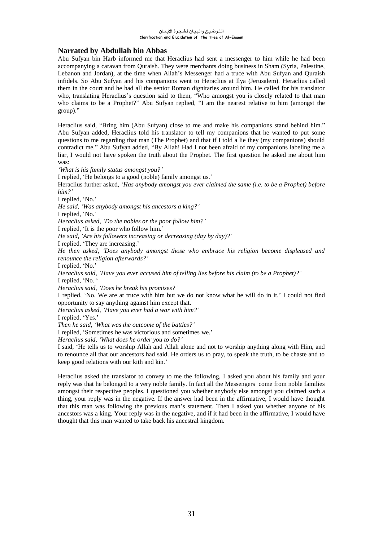#### **Narrated by Abdullah bin Abbas**

Abu Sufyan bin Harb informed me that Heraclius had sent a messenger to him while he had been accompanying a caravan from Quraish. They were merchants doing business in Sham (Syria, Palestine, Lebanon and Jordan), at the time when Allah"s Messenger had a truce with Abu Sufyan and Quraish infidels. So Abu Sufyan and his companions went to Heraclius at Ilya (Jerusalem). Heraclius called them in the court and he had all the senior Roman dignitaries around him. He called for his translator who, translating Heraclius's question said to them, "Who amongst you is closely related to that man who claims to be a Prophet?" Abu Sufyan replied, "I am the nearest relative to him (amongst the group)."

Heraclius said, "Bring him (Abu Sufyan) close to me and make his companions stand behind him." Abu Sufyan added, Heraclius told his translator to tell my companions that he wanted to put some questions to me regarding that man (The Prophet) and that if I told a lie they (my companions) should contradict me." Abu Sufyan added, "By Allah! Had I not been afraid of my companions labeling me a liar, I would not have spoken the truth about the Prophet. The first question he asked me about him was:

*"What is his family status amongst you?"*

I replied, "He belongs to a good (noble) family amongst us."

Heraclius further asked, *"Has anybody amongst you ever claimed the same (i.e. to be a Prophet) before him?"*

I replied, 'No.'

*He said, "Was anybody amongst his ancestors a king?"*

I replied, "No."

*Heraclius asked, "Do the nobles or the poor follow him?"*

I replied, 'It is the poor who follow him.'

*He said, "Are his followers increasing or decreasing (day by day)?"*

I replied, "They are increasing."

*He then asked, "Does anybody amongst those who embrace his religion become displeased and renounce the religion afterwards?"*

I replied, "No."

*Heraclius said, "Have you ever accused him of telling lies before his claim (to be a Prophet)?"* I replied, "No. "

*Heraclius said, "Does he break his promises?"*

I replied, "No. We are at truce with him but we do not know what he will do in it." I could not find opportunity to say anything against him except that.

*Heraclius asked, "Have you ever had a war with him?"*

I replied, "Yes."

*Then he said, "What was the outcome of the battles?"*

I replied, 'Sometimes he was victorious and sometimes we.'

*Heraclius said, "What does he order you to do?"*

I said, "He tells us to worship Allah and Allah alone and not to worship anything along with Him, and to renounce all that our ancestors had said. He orders us to pray, to speak the truth, to be chaste and to keep good relations with our kith and kin."

Heraclius asked the translator to convey to me the following, I asked you about his family and your reply was that he belonged to a very noble family. In fact all the Messengers come from noble families amongst their respective peoples. I questioned you whether anybody else amongst you claimed such a thing, your reply was in the negative. If the answer had been in the affirmative, I would have thought that this man was following the previous man"s statement. Then I asked you whether anyone of his ancestors was a king. Your reply was in the negative, and if it had been in the affirmative, I would have thought that this man wanted to take back his ancestral kingdom.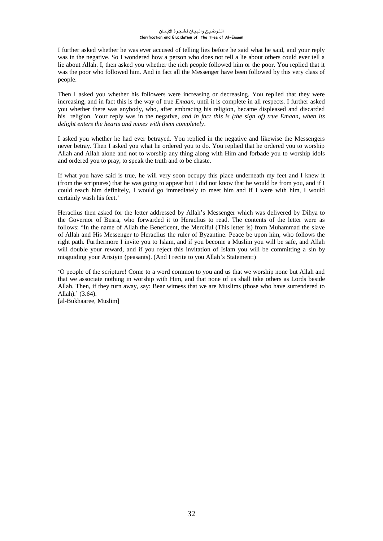I further asked whether he was ever accused of telling lies before he said what he said, and your reply was in the negative. So I wondered how a person who does not tell a lie about others could ever tell a lie about Allah. I, then asked you whether the rich people followed him or the poor. You replied that it was the poor who followed him. And in fact all the Messenger have been followed by this very class of people.

Then I asked you whether his followers were increasing or decreasing. You replied that they were increasing, and in fact this is the way of true *Emaan*, until it is complete in all respects. I further asked you whether there was anybody, who, after embracing his religion, became displeased and discarded his religion. Your reply was in the negative, *and in fact this is (the sign of) true Emaan, when its delight enters the hearts and mixes with them completely*.

I asked you whether he had ever betrayed. You replied in the negative and likewise the Messengers never betray. Then I asked you what he ordered you to do. You replied that he ordered you to worship Allah and Allah alone and not to worship any thing along with Him and forbade you to worship idols and ordered you to pray, to speak the truth and to be chaste.

If what you have said is true, he will very soon occupy this place underneath my feet and I knew it (from the scriptures) that he was going to appear but I did not know that he would be from you, and if I could reach him definitely, I would go immediately to meet him and if I were with him, I would certainly wash his feet."

Heraclius then asked for the letter addressed by Allah"s Messenger which was delivered by Dihya to the Governor of Busra, who forwarded it to Heraclius to read. The contents of the letter were as follows: "In the name of Allah the Beneficent, the Merciful (This letter is) from Muhammad the slave of Allah and His Messenger to Heraclius the ruler of Byzantine. Peace be upon him, who follows the right path. Furthermore I invite you to Islam, and if you become a Muslim you will be safe, and Allah will double your reward, and if you reject this invitation of Islam you will be committing a sin by misguiding your Arisiyin (peasants). (And I recite to you Allah"s Statement:)

"O people of the scripture! Come to a word common to you and us that we worship none but Allah and that we associate nothing in worship with Him, and that none of us shall take others as Lords beside Allah. Then, if they turn away, say: Bear witness that we are Muslims (those who have surrendered to Allah).' (3.64).

[al-Bukhaaree, Muslim]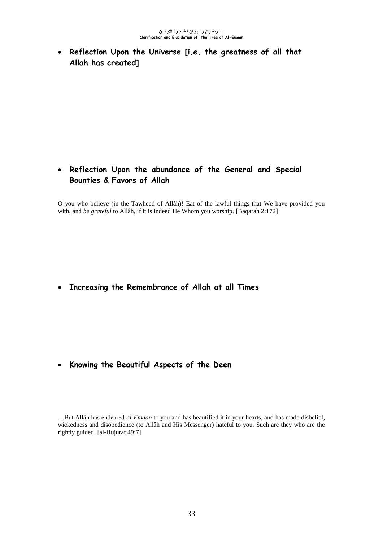**Reflection Upon the Universe [i.e. the greatness of all that Allah has created]**

 **Reflection Upon the abundance of the General and Special Bounties & Favors of Allah**

O you who believe (in the Tawheed of Allâh)! Eat of the lawful things that We have provided you with, and *be grateful* to Allâh, if it is indeed He Whom you worship. [Baqarah 2:172]

**Increasing the Remembrance of Allah at all Times**

**Knowing the Beautiful Aspects of the Deen**

…But Allâh has endeared *al-Emaan* to you and has beautified it in your hearts, and has made disbelief, wickedness and disobedience (to Allâh and His Messenger) hateful to you. Such are they who are the rightly guided. [al-Hujurat 49:7]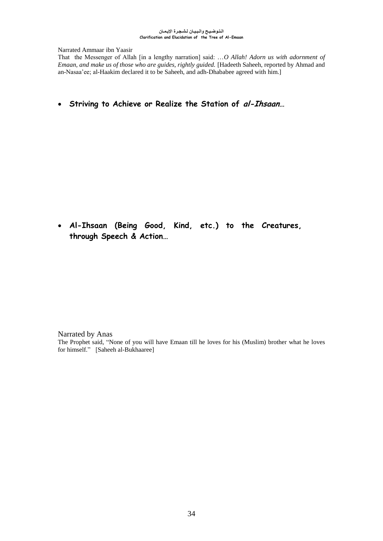Narrated Ammaar ibn Yaasir

That the Messenger of Allah [in a lengthy narration] said: …*O Allah! Adorn us with adornment of Emaan, and make us of those who are guides, rightly guided.* [Hadeeth Saheeh, reported by Ahmad and an-Nasaa"ee; al-Haakim declared it to be Saheeh, and adh-Dhababee agreed with him.]

**Striving to Achieve or Realize the Station of al-Ihsaan…**

 **Al-Ihsaan (Being Good, Kind, etc.) to the Creatures, through Speech & Action…**

Narrated by Anas

The Prophet said, "None of you will have Emaan till he loves for his (Muslim) brother what he loves for himself." [Saheeh al-Bukhaaree]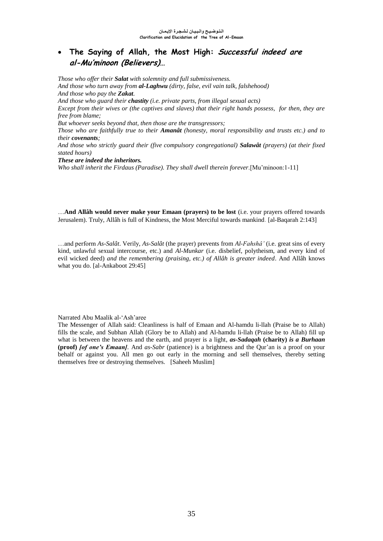#### **The Saying of Allah, the Most High: Successful indeed are al-Mu'minoon (Believers)…**

*Those who offer their Salat with solemnity and full submissiveness. And those who turn away from al-Laghwu (dirty, false, evil vain talk, falshehood) And those who pay the Zakat. And those who guard their chastity (i.e. private parts, from illegal sexual acts) Except from their wives or (the captives and slaves) that their right hands possess, for then, they are free from blame; But whoever seeks beyond that, then those are the transgressors; Those who are faithfully true to their Amanât (honesty, moral responsibility and trusts etc.) and to their covenants; And those who strictly guard their (five compulsory congregational) Salawât (prayers) (at their fixed stated hours) These are indeed the inheritors.*

*Who shall inherit the Firdaus (Paradise). They shall dwell therein forever*.[Mu"minoon:1-11]

…**And Allâh would never make your Emaan (prayers) to be lost** (i.e. your prayers offered towards Jerusalem). Truly, Allâh is full of Kindness, the Most Merciful towards mankind. [al-Baqarah 2:143]

…and perform *As-Salât*. Verily, *As-Salât* (the prayer) prevents from *Al-Fahshâ"* (i.e. great sins of every kind, unlawful sexual intercourse, etc.) and *Al-Munkar* (i.e. disbelief, polytheism, and every kind of evil wicked deed) *and the remembering (praising, etc.) of Allâh is greater indeed*. And Allâh knows what you do. [al-Ankaboot 29:45]

Narrated Abu Maalik al-"Ash"aree

The Messenger of Allah said: Cleanliness is half of Emaan and Al-hamdu li-llah (Praise be to Allah) fills the scale, and Subhan Allah (Glory be to Allah) and Al-hamdu li-llah (Praise be to Allah) fill up what is between the heavens and the earth, and prayer is a light, *as-Sadaqah* **(charity)** *is a Burhaan*  **(proof)** *[of one's Emaan].* And *as-Sabr* (patience) is a brightness and the Qur"an is a proof on your behalf or against you. All men go out early in the morning and sell themselves, thereby setting themselves free or destroying themselves. [Saheeh Muslim]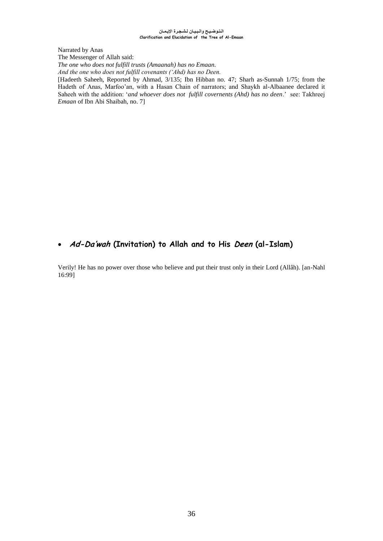#### Narrated by Anas The Messenger of Allah said: *The one who does not fulfill trusts (Amaanah) has no Emaan.*

*And the one who does not fulfill covenants ("Ahd) has no Deen.* 

[Hadeeth Saheeh, Reported by Ahmad, 3/135; Ibn Hibban no. 47; Sharh as-Sunnah 1/75; from the Hadeth of Anas, Marfoo"an, with a Hasan Chain of narrators; and Shaykh al-Albaanee declared it Saheeh with the addition: "*and whoever does not fulfill covernents (Ahd) has no deen*." see: Takhreej *Emaan* of Ibn Abi Shaibah, no. 7]

#### **Ad-Da'wah (Invitation) to Allah and to His Deen (al-Islam)**

Verily! He has no power over those who believe and put their trust only in their Lord (Allâh). [an-Nahl 16:99]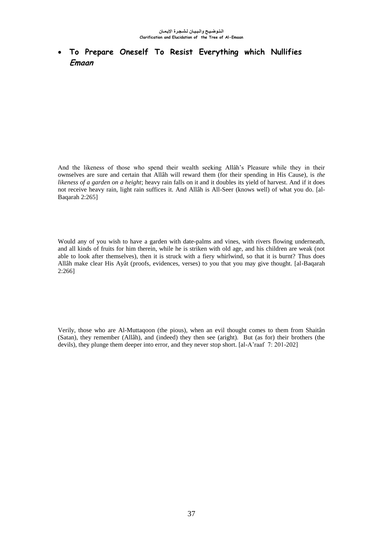# **To Prepare Oneself To Resist Everything which Nullifies Emaan**

And the likeness of those who spend their wealth seeking Allâh"s Pleasure while they in their ownselves are sure and certain that Allâh will reward them (for their spending in His Cause), is *the likeness of a garden on a height*; heavy rain falls on it and it doubles its yield of harvest. And if it does not receive heavy rain, light rain suffices it. And Allâh is All-Seer (knows well) of what you do. [al-Baqarah 2:265]

Would any of you wish to have a garden with date-palms and vines, with rivers flowing underneath, and all kinds of fruits for him therein, while he is striken with old age, and his children are weak (not able to look after themselves), then it is struck with a fiery whirlwind, so that it is burnt? Thus does Allâh make clear His Ayât (proofs, evidences, verses) to you that you may give thought. [al-Baqarah 2:266]

Verily, those who are Al-Muttaqoon (the pious), when an evil thought comes to them from Shaitân (Satan), they remember (Allâh), and (indeed) they then see (aright). But (as for) their brothers (the devils), they plunge them deeper into error, and they never stop short. [al-A"raaf 7: 201-202]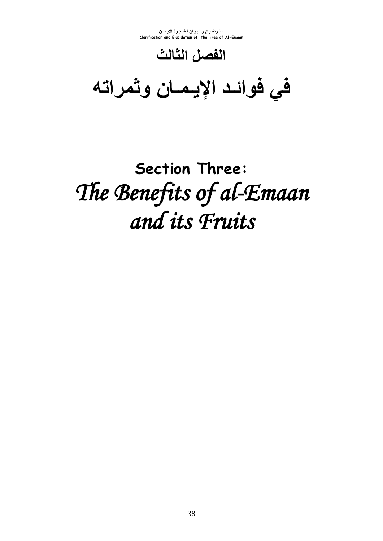# **الفصل الثالث**

**في فوائـد اإليـمـان وثمراته** 

# **Section Three:** *The Benefits of al-Emaan and its Fruits*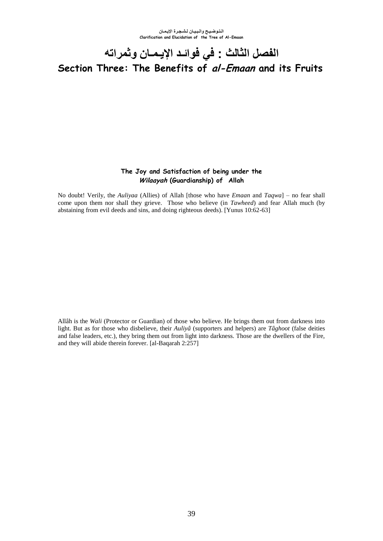# **الفصل الثالث : في فوائـد اإليـمـان وثمراته**

**Section Three: The Benefits of al-Emaan and its Fruits**

# **The Joy and Satisfaction of being under the Wilaayah (Guardianship) of Allah**

No doubt! Verily, the *Auliyaa* (Allies) of Allah [those who have *Emaan* and *Taqwa*] – no fear shall come upon them nor shall they grieve. Those who believe (in *Tawheed*) and fear Allah much (by abstaining from evil deeds and sins, and doing righteous deeds). [Yunus 10:62-63]

Allâh is the *Wali* (Protector or Guardian) of those who believe. He brings them out from darkness into light. But as for those who disbelieve, their *Auliyâ* (supporters and helpers) are *Tâghoot* (false deities and false leaders, etc.), they bring them out from light into darkness. Those are the dwellers of the Fire, and they will abide therein forever. [al-Baqarah 2:257]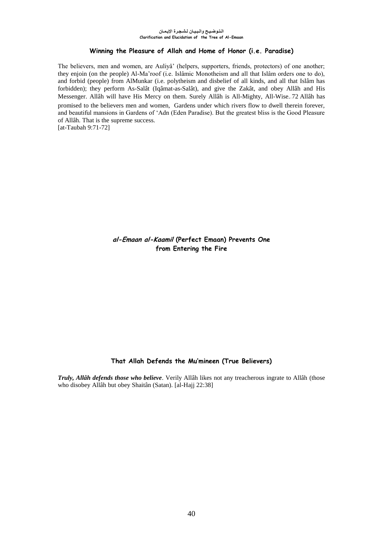# **Winning the Pleasure of Allah and Home of Honor (i.e. Paradise)**

The believers, men and women, are Auliyâ" (helpers, supporters, friends, protectors) of one another; they enjoin (on the people) Al-Ma"roof (i.e. Islâmic Monotheism and all that Islâm orders one to do), and forbid (people) from AlMunkar (i.e. polytheism and disbelief of all kinds, and all that Islâm has forbidden); they perform As-Salât (Iqâmat-as-Salât), and give the Zakât, and obey Allâh and His Messenger. Allâh will have His Mercy on them. Surely Allâh is All-Mighty, All-Wise..72 Allâh has promised to the believers men and women, Gardens under which rivers flow to dwell therein forever, and beautiful mansions in Gardens of "Adn (Eden Paradise). But the greatest bliss is the Good Pleasure of Allâh. That is the supreme success.

[at-Taubah 9:71-72]

**al-Emaan al-Kaamil (Perfect Emaan) Prevents One from Entering the Fire**

# **That Allah Defends the Mu'mineen (True Believers)**

*Truly, Allâh defends those who believe*. Verily Allâh likes not any treacherous ingrate to Allâh (those who disobey Allâh but obey Shaitân (Satan). [al-Hajj 22:38]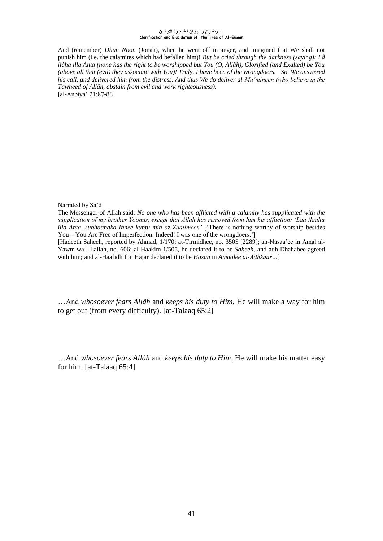And (remember) *Dhun Noon* (Jonah), when he went off in anger, and imagined that We shall not punish him (i.e. the calamites which had befallen him)! *But he cried through the darkness (saying): Lâ ilâha illa Anta (none has the right to be worshipped but You (O, Allâh), Glorified (and Exalted) be You (above all that (evil) they associate with You)! Truly, I have been of the wrongdoers. So, We answered his call, and delivered him from the distress. And thus We do deliver al-Mu"mineen (who believe in the Tawheed of Allâh, abstain from evil and work righteousness).* [al-Anbiya" 21:87-88]

## Narrated by Sa"d

The Messenger of Allah said: *No one who has been afflicted with a calamity has supplicated with the supplication of my brother Yoonus, except that Allah has removed from him his affliction: "Laa ilaaha illa Anta, subhaanaka Innee kuntu min az-Zaalimeen"* ["There is nothing worthy of worship besides You – You Are Free of Imperfection. Indeed! I was one of the wrongdoers.']

[Hadeeth Saheeh, reported by Ahmad, 1/170; at-Tirmidhee, no. 3505 [2289]; an-Nasaa'ee in Amal al-Yawm wa-l-Lailah, no. 606; al-Haakim 1/505, he declared it to be *Saheeh*, and adh-Dhahabee agreed with him; and al-Haafidh Ibn Hajar declared it to be *Hasan* in *Amaalee al-Adhkaar…*]

…And *whosoever fears Allâh* and *keeps his duty to Him*, He will make a way for him to get out (from every difficulty). [at-Talaaq 65:2]

…And *whosoever fears Allâh* and *keeps his duty to Him*, He will make his matter easy for him. [at-Talaaq 65:4]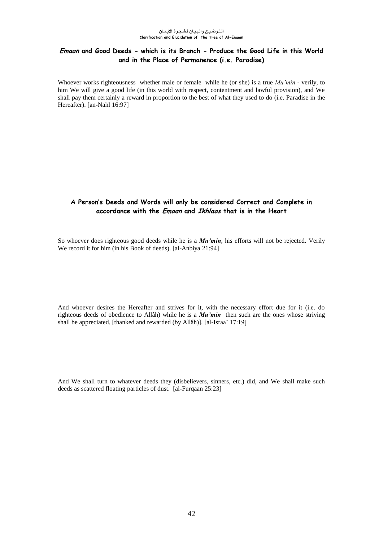# **Emaan and Good Deeds - which is its Branch - Produce the Good Life in this World and in the Place of Permanence (i.e. Paradise)**

Whoever works righteousness whether male or female while he (or she) is a true *Mu"min* - verily, to him We will give a good life (in this world with respect, contentment and lawful provision), and We shall pay them certainly a reward in proportion to the best of what they used to do (i.e. Paradise in the Hereafter). [an-Nahl 16:97]

# **A Person's Deeds and Words will only be considered Correct and Complete in accordance with the Emaan and Ikhlaas that is in the Heart**

So whoever does righteous good deeds while he is a *Mu'min*, his efforts will not be rejected. Verily We record it for him (in his Book of deeds). [al-Anbiya 21:94]

And whoever desires the Hereafter and strives for it, with the necessary effort due for it (i.e. do righteous deeds of obedience to Allâh) while he is a *Mu'min* then such are the ones whose striving shall be appreciated, [thanked and rewarded (by Allâh)]. [al-Israa' 17:19]

And We shall turn to whatever deeds they (disbelievers, sinners, etc.) did, and We shall make such deeds as scattered floating particles of dust. [al-Furqaan 25:23]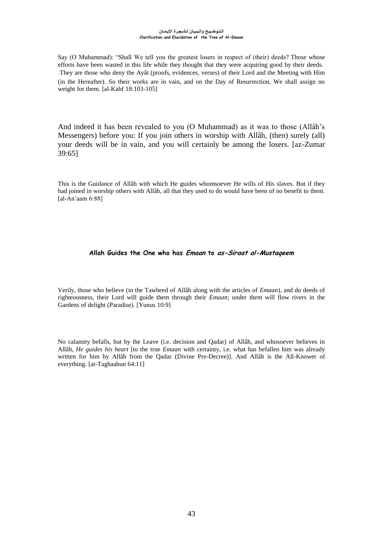Say (O Muhammad): "Shall We tell you the greatest losers in respect of (their) deeds? Those whose efforts have been wasted in this life while they thought that they were acquiring good by their deeds. .They are those who deny the Ayât (proofs, evidences, verses) of their Lord and the Meeting with Him (in the Hereafter). So their works are in vain, and on the Day of Resurrection, We shall assign no weight for them. [al-Kahf 18:103-105]

And indeed it has been revealed to you (O Muhammad) as it was to those (Allâh"s Messengers) before you: If you join others in worship with Allâh, (then) surely (all) your deeds will be in vain, and you will certainly be among the losers. [az-Zumar 39:65]

This is the Guidance of Allâh with which He guides whomsoever He wills of His slaves. But if they had joined in worship others with Allâh, all that they used to do would have been of no benefit to them. [al-An"aam 6:88]

# **Allah Guides the One who has Emaan to as-Siraat al-Mustaqeem**

Verily, those who believe (in the Tawheed of Allâh along with the articles of *Emaan*), and do deeds of righteousness, their Lord will guide them through their *Emaan*; under them will flow rivers in the Gardens of delight (Paradise). [Yunus 10:9]

No calamity befalls, but by the Leave (i.e. decision and Qadar) of Allâh, and whosoever believes in Allâh, *He guides his heart* [to the true *Emaan* with certainty, i.e. what has befallen him was already written for him by Allâh from the Qadar (Divine Pre-Decree)]. And Allâh is the All-Knower of everything. [at-Taghaabun 64:11]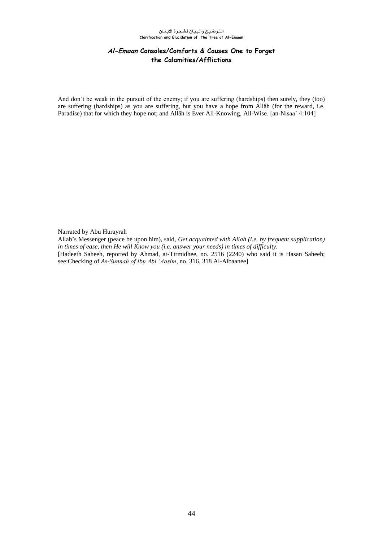# **Al-Emaan Consoles/Comforts & Causes One to Forget the Calamities/Afflictions**

And don"t be weak in the pursuit of the enemy; if you are suffering (hardships) then surely, they (too) are suffering (hardships) as you are suffering, but you have a hope from Allâh (for the reward, i.e. Paradise) that for which they hope not; and Allâh is Ever All-Knowing, All-Wise. [an-Nisaa" 4:104]

Narrated by Abu Hurayrah

Allah"s Messenger (peace be upon him), said, *Get acquainted with Allah (i.e. by frequent supplication) in times of ease, then He will Know you (i.e. answer your needs) in times of difficulty.* [Hadeeth Saheeh, reported by Ahmad, at-Tirmidhee, no. 2516 (2240) who said it is Hasan Saheeh; see:Checking of *As-Sunnah of Ibn Abi "Aasim*, no. 316, 318 Al-Albaanee]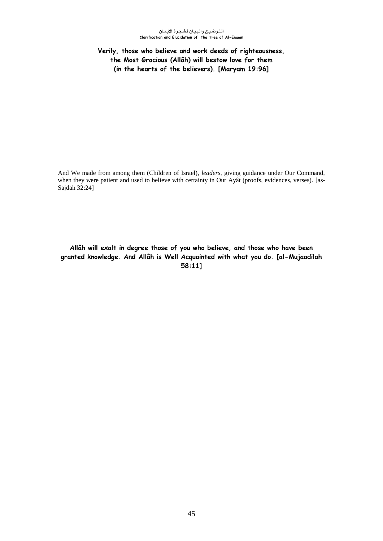**Verily, those who believe and work deeds of righteousness, the Most Gracious (Allâh) will bestow love for them (in the hearts of the believers). [Maryam 19:96]**

And We made from among them (Children of Israel), *leaders*, giving guidance under Our Command, when they were patient and used to believe with certainty in Our Ayât (proofs, evidences, verses). [as-Sajdah 32:24]

**Allâh will exalt in degree those of you who believe, and those who have been granted knowledge. And Allâh is Well Acquainted with what you do. [al-Mujaadilah 58:11]**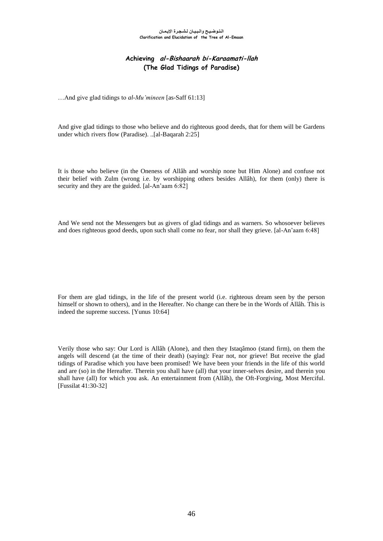# **Achieving al-Bishaarah bi-Karaamati-llah (The Glad Tidings of Paradise)**

…And give glad tidings to *al-Mu"mineen* [as-Saff 61:13]

And give glad tidings to those who believe and do righteous good deeds, that for them will be Gardens under which rivers flow (Paradise). ..[al-Baqarah 2:25]

It is those who believe (in the Oneness of Allâh and worship none but Him Alone) and confuse not their belief with Zulm (wrong i.e. by worshipping others besides Allâh), for them (only) there is security and they are the guided. [al-An'aam 6:82]

And We send not the Messengers but as givers of glad tidings and as warners. So whosoever believes and does righteous good deeds, upon such shall come no fear, nor shall they grieve. [al-An"aam 6:48]

For them are glad tidings, in the life of the present world (i.e. righteous dream seen by the person himself or shown to others), and in the Hereafter. No change can there be in the Words of Allâh. This is indeed the supreme success. [Yunus 10:64]

Verily those who say: Our Lord is Allâh (Alone), and then they Istaqâmoo (stand firm), on them the angels will descend (at the time of their death) (saying): Fear not, nor grieve! But receive the glad tidings of Paradise which you have been promised! We have been your friends in the life of this world and are (so) in the Hereafter. Therein you shall have (all) that your inner-selves desire, and therein you shall have (all) for which you ask. An entertainment from (Allâh), the Oft-Forgiving, Most Merciful. [Fussilat 41:30-32]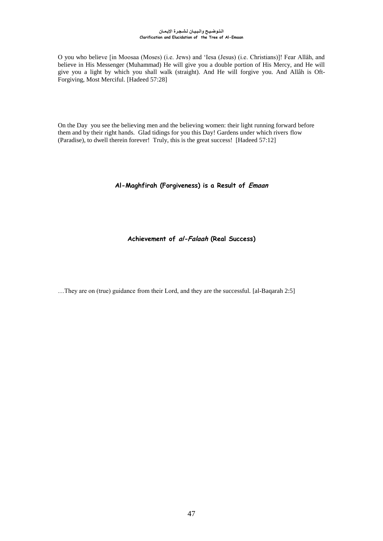O you who believe [in Moosaa (Moses) (i.e. Jews) and "Iesa (Jesus) (i.e. Christians)]! Fear Allâh, and believe in His Messenger (Muhammad) He will give you a double portion of His Mercy, and He will give you a light by which you shall walk (straight). And He will forgive you. And Allâh is Oft-Forgiving, Most Merciful. [Hadeed 57:28]

On the Day you see the believing men and the believing women: their light running forward before them and by their right hands. Glad tidings for you this Day! Gardens under which rivers flow (Paradise), to dwell therein forever! Truly, this is the great success! [Hadeed 57:12]

# **Al-Maghfirah (Forgiveness) is a Result of Emaan**

# **Achievement of al-Falaah (Real Success)**

…They are on (true) guidance from their Lord, and they are the successful. [al-Baqarah 2:5]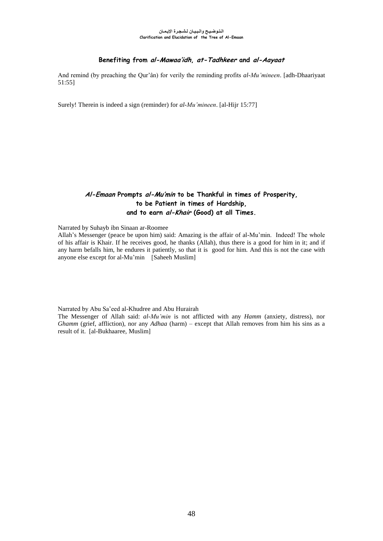# **Benefiting from al-Mawaa'idh, at-Tadhkeer and al-Aayaat**

And remind (by preaching the Qur"ân) for verily the reminding profits *al-Mu"mineen*. [adh-Dhaariyaat 51:55]

Surely! Therein is indeed a sign (reminder) for *al-Mu"mineen*. [al-Hijr 15:77]

# **Al-Emaan Prompts al-Mu'min to be Thankful in times of Prosperity, to be Patient in times of Hardship, and to earn al-Khair (Good) at all Times.**

Narrated by Suhayb ibn Sinaan ar-Roomee

Allah"s Messenger (peace be upon him) said: Amazing is the affair of al-Mu"min. Indeed! The whole of his affair is Khair. If he receives good, he thanks (Allah), thus there is a good for him in it; and if any harm befalls him, he endures it patiently, so that it is good for him. And this is not the case with anyone else except for al-Mu"min [Saheeh Muslim]

Narrated by Abu Sa"eed al-Khudree and Abu Hurairah

The Messenger of Allah said: *al-Mu"min* is not afflicted with any *Hamm* (anxiety, distress), nor *Ghamm* (grief, affliction), nor any *Adhaa* (harm) – except that Allah removes from him his sins as a result of it. [al-Bukhaaree, Muslim]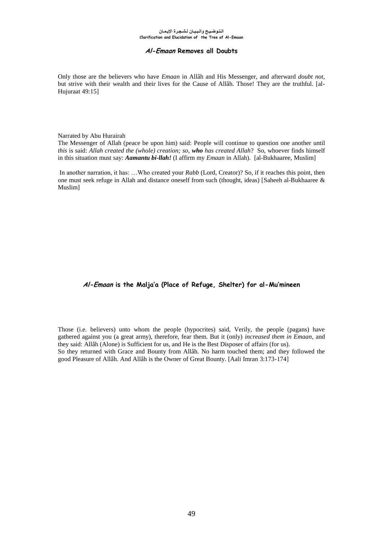# **Al-Emaan Removes all Doubts**

Only those are the believers who have *Emaan* in Allâh and His Messenger, and afterward *doubt not,* but strive with their wealth and their lives for the Cause of Allâh. Those! They are the truthful. [al-Hujuraat 49:15]

Narrated by Abu Hurairah

The Messenger of Allah (peace be upon him) said: People will continue to question one another until *this* is said: *Allah created the (whole) creation; so, who has created Allah*? So, whoever finds himself in this situation must say: *Aamantu bi-llah!* (I affirm my *Emaan* in Allah). [al-Bukhaaree, Muslim]

In another narration, it has: ...Who created your *Rabb* (Lord, Creator)? So, if it reaches this point, then one must seek refuge in Allah and distance oneself from such (thought, ideas) [Saheeh al-Bukhaaree & Muslim]

# **Al-Emaan is the Malja'a (Place of Refuge, Shelter) for al-Mu'mineen**

Those (i.e. believers) unto whom the people (hypocrites) said, Verily, the people (pagans) have gathered against you (a great army), therefore, fear them. But it (only) *increased them in Emaan*, and they said: Allâh (Alone) is Sufficient for us, and He is the Best Disposer of affairs (for us). So they returned with Grace and Bounty from Allâh. No harm touched them; and they followed the good Pleasure of Allâh. And Allâh is the Owner of Great Bounty. [Aali Imran 3:173-174]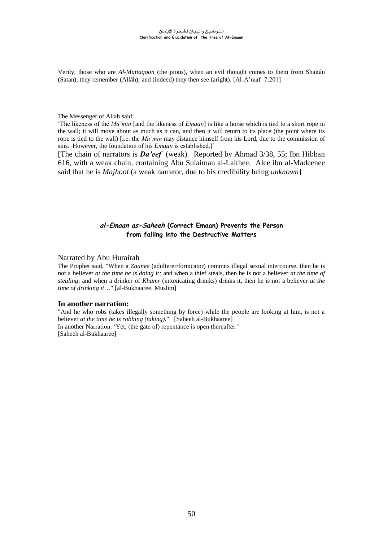Verily, those who are *Al*-*Muttaqoon* (the pious), when an evil thought comes to them from Shaitân (Satan), they remember (Allâh), and (indeed) they then see (aright). [Al-A"raaf 7:201]

#### The Messenger of Allah said:

"The likeness of the *Mu"min* [and the likeness of *Emaan*] is like a horse which is tied to a short rope in the wall; it will move about as much as it can, and then it will return to its place (the point where its rope is tied to the wall) [i.e. the *Mu"min* may distance himself from his Lord, due to the commission of sins. However, the foundation of his *Emaan* is established.]"

[The chain of narrators is *Da'eef* (weak). Reported by Ahmad 3/38, 55; Ibn Hibban 616, with a weak chain, containing Abu Sulaiman al-Laithee. Alee ibn al-Madeenee said that he is *Majhool* (a weak narrator, due to his credibility being *unknown*]

# **al-Emaan as-Saheeh (Correct Emaan) Prevents the Person from falling into the Destructive Matters**

Narrated by Abu Hurairah

The Prophet said, "When a *Zaanee* (adulterer/fornicator) commits illegal sexual intercourse, then he is not a believer *at the time he is doing it;* and when a thief steals, then he is not a believer *at the time of stealing*; and when a drinker of *Khamr* (intoxicating driniks) drinks it, then he is not a believer *at the time of drinking it*…" [al-Bukhaaree, Muslim]

## **In another narration:**

"And he who robs (takes illegally something by force) while the people are looking at him, is not a believer *at the time he is robbing (taking).*" [Saheeh al-Bukhaaree] In another Narration: 'Yet, (the gate of) repentance is open thereafter.' [Saheeh al-Bukhaaree]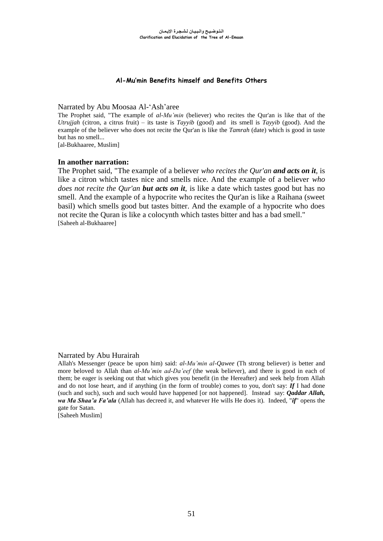# **Al-Mu'min Benefits himself and Benefits Others**

Narrated by Abu Moosaa Al-"Ash"aree

The Prophet said, "The example of *al-Mu"min* (believer) who recites the Qur'an is like that of the *Utrujjah* (citron, a citrus fruit) – its taste is *Tayyib* (good) and its smell is *Tayyib* (good). And the example of the believer who does not recite the Qur'an is like the *Tamrah* (date) which is good in taste but has no smell...

[al-Bukhaaree, Muslim]

# **In another narration:**

The Prophet said, "The example of a believer *who recites the Qur'an and acts on it*, is like a citron which tastes nice and smells nice. And the example of a believer *who does not recite the Qur'an but acts on it*, is like a date which tastes good but has no smell. And the example of a hypocrite who recites the Qur'an is like a Raihana (sweet basil) which smells good but tastes bitter. And the example of a hypocrite who does not recite the Quran is like a colocynth which tastes bitter and has a bad smell." [Saheeh al-Bukhaaree]

# Narrated by Abu Hurairah

Allah's Messenger (peace be upon him) said: *al-Mu"min al-Qawee* (Th strong believer) is better and more beloved to Allah than *al-Mu"min ad-Da"eef* (the weak believer), and there is good in each of them; be eager is seeking out that which gives you benefit (in the Hereafter) and seek help from Allah and do not lose heart, and if anything (in the form of trouble) comes to you, don't say: *If* I had done (such and such), such and such would have happened [or not happened]. Instead say: *Qaddar Allah, wa Ma Shaa'a Fa'ala* (Allah has decreed it, and whatever He wills He does it). Indeed, "*if*" opens the gate for Satan.

[Saheeh Muslim]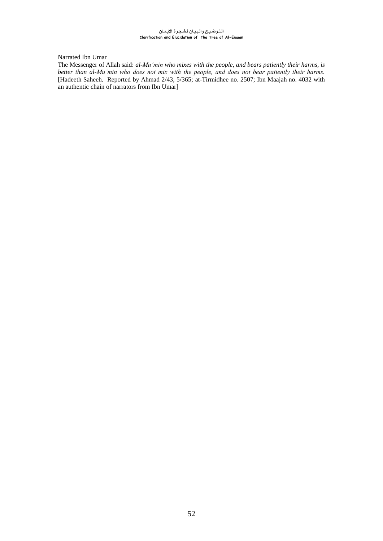# Narrated Ibn Umar

The Messenger of Allah said: *al-Mu"min who mixes with the people, and bears patiently their harms, is better than al-Mu"min who does not mix with the people, and does not bear patiently their harms.*  [Hadeeth Saheeh. Reported by Ahmad 2/43, 5/365; at-Tirmidhee no. 2507; Ibn Maajah no. 4032 with an authentic chain of narrators from Ibn Umar]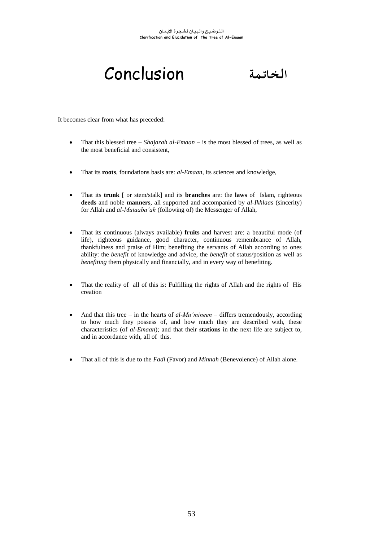**الـخـاتـمـة** Conclusion

It becomes clear from what has preceded:

- That this blessed tree *Shajarah al-Emaan* is the most blessed of trees, as well as the most beneficial and consistent,
- That its **roots**, foundations basis are: *al-Emaan*, its sciences and knowledge,
- That its **trunk** [ or stem/stalk] and its **branches** are: the **laws** of Islam, righteous **deeds** and noble **manners**, all supported and accompanied by *al-Ikhlaas* (sincerity) for Allah and *al-Mutaaba"ah* (following of) the Messenger of Allah,
- That its continuous (always available) **fruits** and harvest are: a beautiful mode (of life), righteous guidance, good character, continuous remembrance of Allah, thankfulness and praise of Him; benefiting the servants of Allah according to ones ability: the *benefit* of knowledge and advice, the *benefit* of status/position as well as *benefiting* them physically and financially, and in every way of benefiting.
- That the reality of all of this is: Fulfilling the rights of Allah and the rights of His creation
- And that this tree in the hearts of *al-Mu"mineen* differs tremendously, according to how much they possess of, and how much they are described with, these characteristics (of *al-Emaan*); and that their **stations** in the next life are subject to, and in accordance with, all of this.
- That all of this is due to the *Fadl* (Favor) and *Minnah* (Benevolence) of Allah alone.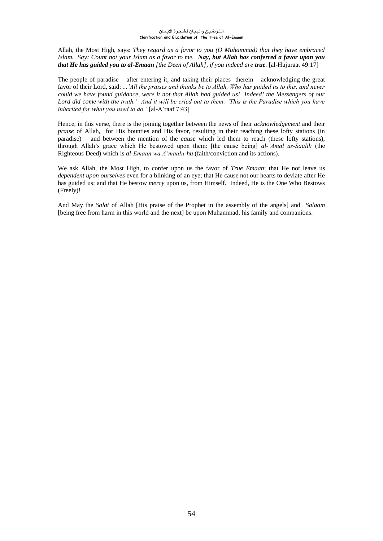Allah, the Most High, says: *They regard as a favor to you (O Muhammad) that they have embraced Islam. Say: Count not your Islam as a favor to me. Nay, but Allah has conferred a favor upon you that He has guided you to al-Emaan [the Deen of Allah], if you indeed are true.* [al-Hujuraat 49:17]

The people of paradise – after entering it, and taking their places therein – acknowledging the great favor of their Lord, said: *..."All the praises and thanks be to Allah, Who has guided us to this, and never could we have found guidance, were it not that Allah had guided us! Indeed! the Messengers of our Lord did come with the truth." And it will be cried out to them: "This is the Paradise which you have inherited for what you used to do."* [al-A"raaf 7:43]

Hence, in this verse, there is the joining together between the news of their *acknowledgement* and their *praise* of Allah, for His bounties and His favor, resulting in their reaching these lofty stations (in paradise) – and between the mention of the *cause* which led them to reach (these lofty stations), through Allah"s grace which He bestowed upon them: [the cause being] *al-"Amal as-Saalih* (the Righteous Deed) which is *al-Emaan wa A"maalu-hu* (faith/conviction and its actions).

We ask Allah, the Most High, to confer upon us the favor of *True Emaan*; that He not leave us *dependent upon ourselves* even for a blinking of an eye; that He cause not our hearts to deviate after He has guided us; and that He bestow *mercy* upon us, from Himself. Indeed, He is the One Who Bestows (Freely)!

And May the *Salat* of Allah [His praise of the Prophet in the assembly of the angels] and *Salaam* [being free from harm in this world and the next] be upon Muhammad, his family and companions.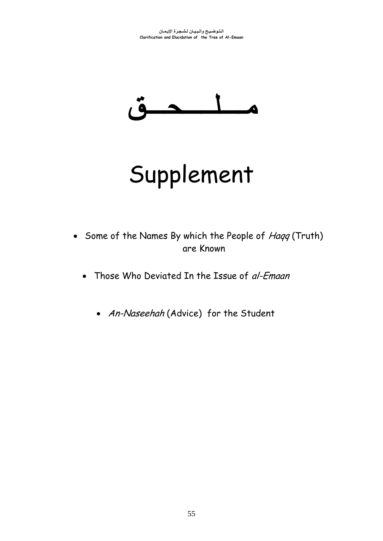مـلـحـق

# Supplement

- Some of the Names By which the People of Hagg (Truth) are Known
	- Those Who Deviated In the Issue of al-Emaan
		- An-Naseehah (Advice) for the Student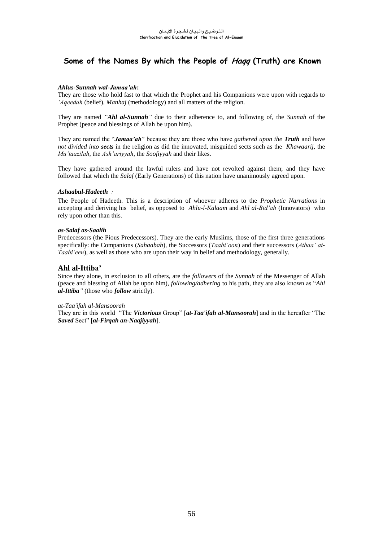# **Some of the Names By which the People of Haqq (Truth) are Known**

# *Ahlus-Sunnah wal-Jamaa'ah***:**

They are those who hold fast to that which the Prophet and his Companions were upon with regards to *"Aqeedah* (belief), *Manhaj* (methodology) and all matters of the religion.

They are named *"Ahl al-Sunnah"* due to their adherence to, and following of, the *Sunnah* of the Prophet (peace and blessings of Allah be upon him).

They are named the "*Jamaa'ah*" because they are those who have *gathered upon the Truth* and have *not divided into sects* in the religion as did the innovated, misguided sects such as the *Khawaarij*, the *Mu"taazilah*, the *Ash"ariyyah*, the *Soofiyyah* and their likes.

They have gathered around the lawful rulers and have not revolted against them; and they have followed that which the *Salaf* (Early Generations) of this nation have unanimously agreed upon.

# *Ashaabul-Hadeeth* **:**

The People of Hadeeth. This is a description of whoever adheres to the *Prophetic Narrations* in accepting and deriving his belief, as opposed to *Ahlu-l-Kalaam* and *Ahl al-Bid"ah* (Innovators) who rely upon other than this.

# *as-Salaf as-Saalih*

Predecessors (the Pious Predecessors). They are the early Muslims, those of the first three generations specifically: the Companions (*Sahaabah*), the Successors (*Taabi"oon*) and their successors (*Atbaa" at-Taabi"een*), as well as those who are upon their way in belief and methodology, generally.

# **Ahl al-Ittiba'**

Since they alone, in exclusion to all others, are the *followers* of the *Sunnah* of the Messenger of Allah (peace and blessing of Allah be upon him), *following/adhering* to his path, they are also known as "*Ahl al-Ittiba"* (those who *follow* strictly).

## *at-Taa'ifah al-Mansoorah*

They are in this world "The *Victorious* Group" [*at-Taa'ifah al-Mansoorah*] and in the hereafter "The *Saved* Sect" [*al-Firqah an-Naajiyyah*].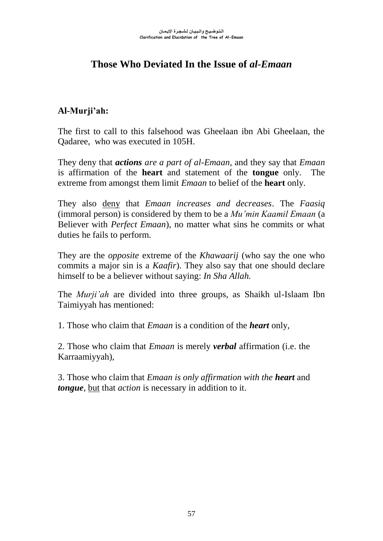# **Those Who Deviated In the Issue of** *al-Emaan*

# **Al-Murji'ah:**

The first to call to this falsehood was Gheelaan ibn Abi Gheelaan, the Qadaree, who was executed in 105H.

They deny that *actions are a part of al-Emaan*, and they say that *Emaan* is affirmation of the **heart** and statement of the **tongue** only. The extreme from amongst them limit *Emaan* to belief of the **heart** only.

They also deny that *Emaan increases and decreases*. The *Faasiq*  (immoral person) is considered by them to be a *Mu"min Kaamil Emaan* (a Believer with *Perfect Emaan*), no matter what sins he commits or what duties he fails to perform.

They are the *opposite* extreme of the *Khawaarij* (who say the one who commits a major sin is a *Kaafir*). They also say that one should declare himself to be a believer without saying: *In Sha Allah.*

The *Murji"ah* are divided into three groups, as Shaikh ul-Islaam Ibn Taimiyyah has mentioned:

1. Those who claim that *Emaan* is a condition of the *heart* only,

2. Those who claim that *Emaan* is merely *verbal* affirmation (i.e. the Karraamiyyah),

3. Those who claim that *Emaan is only affirmation with the heart* and *tongue*, but that *action* is necessary in addition to it.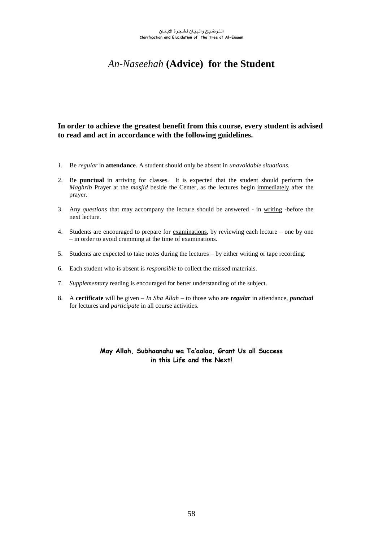# *An-Naseehah* **(Advice) for the Student**

# **In order to achieve the greatest benefit from this course, every student is advised to read and act in accordance with the following guidelines.**

- *1.* Be *regular* in **attendance**. A student should only be absent in *unavoidable situations.*
- 2. Be **punctual** in arriving for classes. It is expected that the student should perform the *Maghrib* Prayer at the *masjid* beside the Center, as the lectures begin immediately after the prayer.
- 3. Any *questions* that may accompany the lecture should be answered in writing -before the next lecture.
- 4. Students are encouraged to prepare for examinations, by reviewing each lecture one by one – in order to avoid cramming at the time of examinations.
- 5. Students are expected to take notes during the lectures by either writing or tape recording.
- 6. Each student who is absent is *responsible* to collect the missed materials.
- 7. *Supplementary* reading is encouraged for better understanding of the subject.
- 8. A **certificate** will be given *In Sha Allah* to those who are *regular* in attendance, *punctual* for lectures and *participate* in all course activities.

# **May Allah, Subhaanahu wa Ta'aalaa, Grant Us all Success in this Life and the Next!**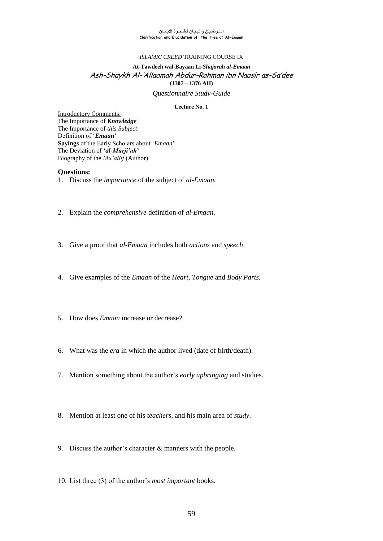# *ISLAMIC CREED* TRAINING COURSE IX

# **At-Tawdeeh wal-Bayaan Li-***Shajarah al-Emaan* Ash-Shaykh Al-'Allaamah Abdur-Rahman ibn Naasir as-Sa'dee **(1307 – 1376 AH)** *Questionnaire Study-Guide*

# **Lecture No. 1**

Introductory Comments: The Importance of *Knowledge* The Importance of *this Subject* Definition of "*Emaan***' Sayings** of the Early Scholars about "*Emaan*" The Deviation of **'***al-Murji'ah***'** Biography of the *Mu"allif* (Author)

- 1. Discuss the *importance* of the subject of *al-Emaan.*
- 2. Explain the *comprehensive* definition of *al*-*Emaan*.
- 3. Give a proof that *al*-*Emaan* includes both *actions* and *speech*.
- 4. Give examples of the *Emaan* of the *Heart*, *Tongue* and *Body Parts.*
- 5. How does *Emaan* increase or decrease?
- 6. What was the *era* in which the author lived (date of birth/death).
- 7. Mention something about the author"s *early upbringing* and studies.
- 8. Mention at least one of his *teachers*, and his main area of *study*.
- 9. Discuss the author"s character & manners with the people.
- 10. List three (3) of the author"s *most important* books.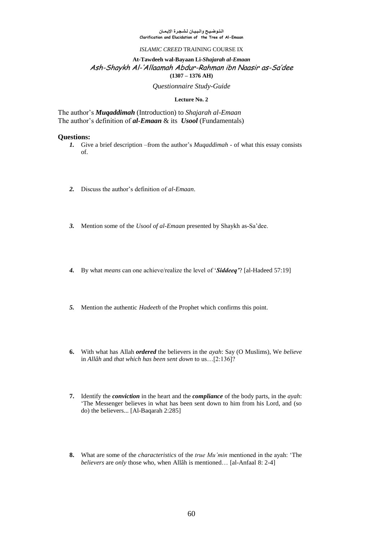# *ISLAMIC CREED* TRAINING COURSE IX

# **At-Tawdeeh wal-Bayaan Li-***Shajarah al-Emaan* Ash-Shaykh Al-'Allaamah Abdur-Rahman ibn Naasir as-Sa'dee **(1307 – 1376 AH)** *Questionnaire Study-Guide*

#### **Lecture No. 2**

The author"s *Muqaddimah* (Introduction) to *Shajarah al-Emaan* The author"s definition of *al-Emaan* & its *Usool* (Fundamentals)

- *1.* Give a brief description –from the author's *Muqaddimah* of what this essay consists of.
- *2.* Discuss the author"s definition of *al-Emaan*.
- *3.* Mention some of the *Usool of al-Emaan* presented by Shaykh as-Sa"dee.
- *4.* By what *means* can one achieve/realize the level of "*Siddeeq'*? [al-Hadeed 57:19]
- *5.* Mention the authentic *Hadeeth* of the Prophet which confirms this point.
- **6.** With what has Allah *ordered* the believers in the *ayah*: Say (O Muslims), We *believe* in *Allâh* and *that which has been sent down* to us…[2:136]?
- **7.** Identify the *conviction* in the heart and the *compliance* of the body parts, in the *ayah*: "The Messenger believes in what has been sent down to him from his Lord, and (so do) the believers... [Al-Baqarah 2:285]
- **8.** What are some of the *characteristics* of the *true Mu"min* mentioned in the ayah: "The *believers* are *only* those who, when Allâh is mentioned… [al-Anfaal 8: 2-4]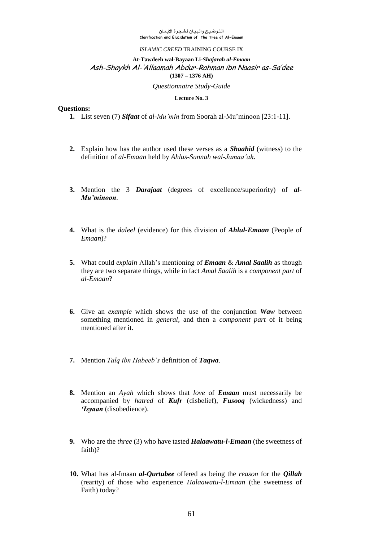## *ISLAMIC CREED* TRAINING COURSE IX

# **At-Tawdeeh wal-Bayaan Li-***Shajarah al-Emaan* Ash-Shaykh Al-'Allaamah Abdur-Rahman ibn Naasir as-Sa'dee **(1307 – 1376 AH)** *Questionnaire Study-Guide*

# **Lecture No. 3**

- **1.** List seven (7) *Sifaat* of *al-Mu"min* from Soorah al-Mu"minoon [23:1-11].
- **2.** Explain how has the author used these verses as a *Shaahid* (witness) to the definition of *al-Emaan* held by *Ahlus-Sunnah wal-Jamaa"ah*.
- **3.** Mention the 3 *Darajaat* (degrees of excellence/superiority) of *al-Mu'minoon*.
- **4.** What is the *daleel* (evidence) for this division of *Ahlul-Emaan* (People of *Emaan*)?
- **5.** What could *explain* Allah"s mentioning of *Emaan* & *Amal Saalih* as though they are two separate things, while in fact *Amal Saalih* is a *component part* of *al-Emaan*?
- **6.** Give an *example* which shows the use of the conjunction *Waw* between something mentioned in *general*, and then a *component part* of it being mentioned after it.
- **7.** Mention *Talq ibn Habeeb"s* definition of *Taqwa*.
- **8.** Mention an *Ayah* which shows that *love* of *Emaan* must necessarily be accompanied by *hatred* of *Kufr* (disbelief), *Fusooq* (wickedness) and *'Isyaan* (disobedience).
- **9.** Who are the *three* (3) who have tasted *Halaawatu-l-Emaan* (the sweetness of faith)?
- **10.** What has al-Imaan *al-Qurtubee* offered as being the *reason* for the *Qillah*  (rearity) of those who experience *Halaawatu-l-Emaan* (the sweetness of Faith) today?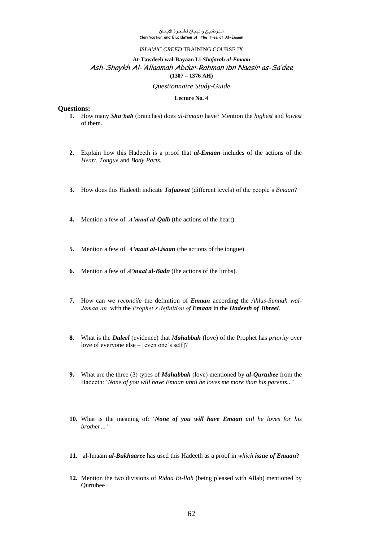#### *ISLAMIC CREED* TRAINING COURSE IX

# **At-Tawdeeh wal-Bayaan Li-***Shajarah al-Emaan* Ash-Shaykh Al-'Allaamah Abdur-Rahman ibn Naasir as-Sa'dee **(1307 – 1376 AH)** *Questionnaire Study-Guide*

#### **Lecture No. 4**

- **1.** How many *Shu'bah* (branches) does *al-Emaan* have? Mention the *highest* and *lowest* of them.
- **2.** Explain how this Hadeeth is a proof that *al-Emaan* includes of the actions of the *Heart*, *Tongue* and *Body Parts.*
- **3.** How does this Hadeeth indicate *Tafaawut* (different levels) of the people"s *Emaan*?
- **4.** Mention a few of *A'maal al-Qalb* (the actions of the heart).
- **5.** Mention a few of *A'maal al-Lisaan* (the actions of the tongue).
- **6.** Mention a few of *A'maal al-Badn* (the actions of the limbs).
- **7.** How can we *reconcile* the definition of *Emaan* according the *Ahlus-Sunnah wal-Jamaa"ah* with the *Prophet"s definition of Emaan* in the *Hadeeth of Jibreel*.
- **8.** What is the *Daleel* (evidence) that *Mahabbah* (love) of the Prophet has *priority* over love of everyone else – [even one's self]?
- **9.** What are the three (3) types of *Mahabbah* (love) mentioned by *al-Qurtubee* from the Hadeeth: "*None of you will have Emaan until he loves me more than his parents*..."
- **10.** What is the meaning of: "*None of you will have Emaan util he loves for his brother…"*
- **11.** al-Imaam *al-Bukhaaree* has used this Hadeeth as a proof in *which issue of Emaan*?
- **12.** Mention the two divisions of *Ridaa Bi-llah* (being pleased with Allah) mentioned by **Ourtubee**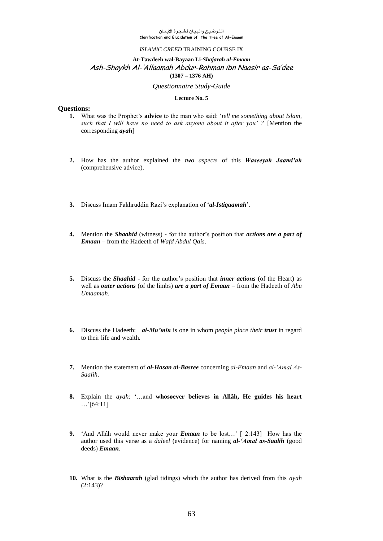#### *ISLAMIC CREED* TRAINING COURSE IX

# **At-Tawdeeh wal-Bayaan Li-***Shajarah al-Emaan* Ash-Shaykh Al-'Allaamah Abdur-Rahman ibn Naasir as-Sa'dee **(1307 – 1376 AH)** *Questionnaire Study-Guide*

#### **Lecture No. 5**

- 1. What was the Prophet's **advice** to the man who said: 'tell me something about Islam, *such that I will have no need to ask anyone about it after you" ?* [Mention the corresponding *ayah*]
- **2.** How has the author explained the *two aspects* of this *Waseeyah Jaami'ah* (comprehensive advice).
- **3.** Discuss Imam Fakhruddin Razi"s explanation of "*al-Istiqaamah*".
- **4.** Mention the *Shaahid* (witness) for the author"s position that *actions are a part of Emaan* – from the Hadeeth of *Wafd Abdul Qais*.
- **5.** Discuss the *Shaahid* for the author"s position that *inner actions* (of the Heart) as well as *outer actions* (of the limbs) *are a part of Emaan* – from the Hadeeth of *Abu Umaamah*.
- **6.** Discuss the Hadeeth: *al-Mu'min* is one in whom *people place their trust* in regard to their life and wealth.
- **7.** Mention the statement of *al-Hasan al-Basree* concerning *al-Emaan* and *al-"Amal As-Saalih*.
- **8.** Explain the *ayah*: "…and **whosoever believes in Allâh, He guides his heart**   $\ldots$ <sup>7</sup>[64:11]
- **9.** "And Allâh would never make your *Emaan* to be lost…" [ 2:143] How has the author used this verse as a *daleel* (evidence) for naming *al-'Amal as-Saalih* (good deeds) *Emaan*.
- **10.** What is the *Bishaarah* (glad tidings) which the author has derived from this *ayah* (2:143)?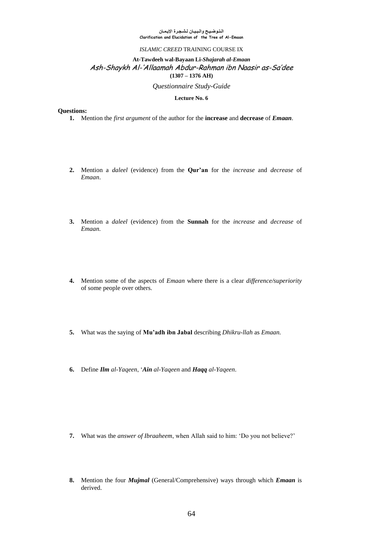#### *ISLAMIC CREED* TRAINING COURSE IX

# **At-Tawdeeh wal-Bayaan Li-***Shajarah al-Emaan* Ash-Shaykh Al-'Allaamah Abdur-Rahman ibn Naasir as-Sa'dee **(1307 – 1376 AH)** *Questionnaire Study-Guide*

# **Lecture No. 6**

- **1.** Mention the *first argument* of the author for the **increase** and **decrease** of *Emaan*.
- **2.** Mention a *daleel* (evidence) from the **Qur'an** for the *increase* and *decrease* of *Emaan*.
- **3.** Mention a *daleel* (evidence) from the **Sunnah** for the *increase* and *decrease* of *Emaan.*
- **4.** Mention some of the aspects of *Emaan* where there is a clear *difference/superiority* of some people over others.
- **5.** What was the saying of **Mu'adh ibn Jabal** describing *Dhikru-llah* as *Emaan.*
- **6.** Define *Ilm al-Yaqeen*, "*Ain al-Yaqeen* and *Haqq al-Yaqeen*.

- **7.** What was the *answer of Ibraaheem*, when Allah said to him: "Do you not believe?"
- **8.** Mention the four *Mujmal* (General/Comprehensive) ways through which *Emaan* is derived.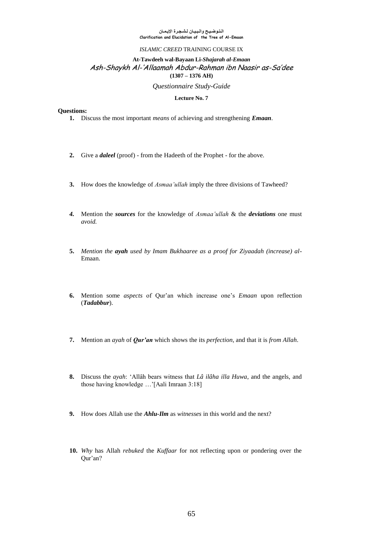#### *ISLAMIC CREED* TRAINING COURSE IX

# **At-Tawdeeh wal-Bayaan Li-***Shajarah al-Emaan* Ash-Shaykh Al-'Allaamah Abdur-Rahman ibn Naasir as-Sa'dee **(1307 – 1376 AH)** *Questionnaire Study-Guide*

# **Lecture No. 7**

- **1.** Discuss the most important *means* of achieving and strengthening *Emaan*.
- **2.** Give a *daleel* (proof) from the Hadeeth of the Prophet for the above.
- **3.** How does the knowledge of *Asmaa"ullah* imply the three divisions of Tawheed?
- *4.* Mention the *sources* for the knowledge of *Asmaa"ullah* & the *deviations* one must *avoid.*
- **5.** *Mention the ayah used by Imam Bukhaaree as a proof for Ziyaadah (increase) al*-Emaan.
- **6.** Mention some *aspects* of Qur"an which increase one"s *Emaan* upon reflection (*Tadabbur*).
- **7.** Mention an *ayah* of *Qur'an* which shows the its *perfection*, and that it is *from Allah*.
- **8.** Discuss the *ayah*: "Allâh bears witness that *Lâ ilâha illa Huwa*, and the angels, and those having knowledge …"[Aali Imraan 3:18]
- **9.** How does Allah use the *Ahlu-Ilm* as *witnesses* in this world and the next?
- **10.** *Why* has Allah *rebuked* the *Kuffaar* for not reflecting upon or pondering over the Our'an?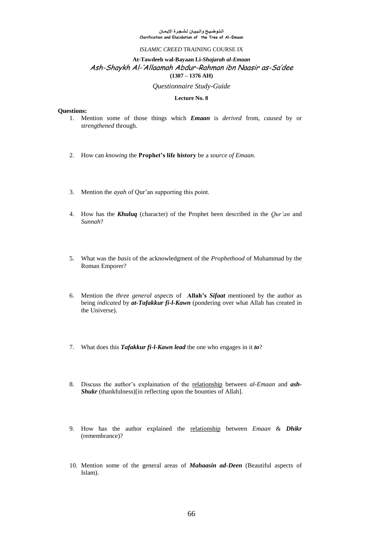#### *ISLAMIC CREED* TRAINING COURSE IX

# **At-Tawdeeh wal-Bayaan Li-***Shajarah al-Emaan* Ash-Shaykh Al-'Allaamah Abdur-Rahman ibn Naasir as-Sa'dee **(1307 – 1376 AH)** *Questionnaire Study-Guide*

# **Lecture No. 8**

- 1. Mention some of those things which *Emaan* is *derived* from, *caused* by or *strengthened* through.
- 2. How can *knowing* the **Prophet's life history** be a *source of Emaan.*
- 3. Mention the *ayah* of Qur"an supporting this point.
- 4. How has the *Khuluq* (character) of the Prophet been described in the *Qur"an* and *Sunnah*?
- 5. What was the *basis* of the acknowledgment of the *Prophethood* of Muhammad by the Roman Emporer?
- 6. Mention the *three general aspects* of **Allah's** *Sifaat* mentioned by the author as being *indicated* by *at-Tafakkur fi-l-Kawn* (pondering over what Allah has created in the Universe).
- 7. What does this *Tafakkur fi-l-Kawn lead* the one who engages in it *to*?
- 8. Discuss the author"s explaination of the relationship between *al-Emaan* and *ash-Shukr* (thankfulness)[in reflecting upon the bounties of Allah].
- 9. How has the author explained the relationship between *Emaan* & *Dhikr*  (remembrance)?
- 10. Mention some of the general areas of *Mahaasin ad-Deen* (Beautiful aspects of Islam).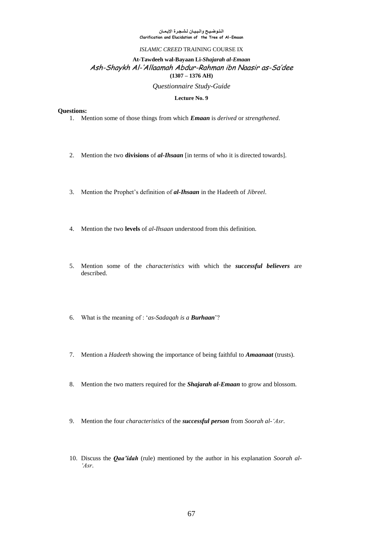#### *ISLAMIC CREED* TRAINING COURSE IX

# **At-Tawdeeh wal-Bayaan Li-***Shajarah al-Emaan* Ash-Shaykh Al-'Allaamah Abdur-Rahman ibn Naasir as-Sa'dee **(1307 – 1376 AH)** *Questionnaire Study-Guide*

# **Lecture No. 9**

- 1. Mention some of those things from which *Emaan* is *derived* or *strengthened*.
- 2. Mention the two **divisions** of *al-Ihsaan* [in terms of who it is directed towards].
- 3. Mention the Prophet"s definition of *al-Ihsaan* in the Hadeeth of *Jibreel*.
- 4. Mention the two **levels** of *al-Ihsaan* understood from this definition.
- 5. Mention some of the *characteristics* with which the *successful believers* are described.
- 6. What is the meaning of : "*as-Sadaqah is a Burhaan*"?
- 7. Mention a *Hadeeth* showing the importance of being faithful to *Amaanaat* (trusts).
- 8. Mention the two matters required for the *Shajarah al-Emaan* to grow and blossom.
- 9. Mention the four *characteristics* of the *successful person* from *Soorah al-"Asr*.
- 10. Discuss the *Qaa'idah* (rule) mentioned by the author in his explanation *Soorah al- "Asr*.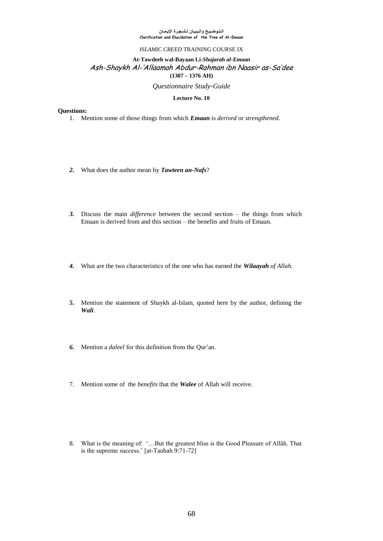## *ISLAMIC CREED* TRAINING COURSE IX

# **At-Tawdeeh wal-Bayaan Li-***Shajarah al-Emaan* Ash-Shaykh Al-'Allaamah Abdur-Rahman ibn Naasir as-Sa'dee **(1307 – 1376 AH)** *Questionnaire Study-Guide*

# **Lecture No. 10**

- 1. Mention some of those things from which *Emaan* is *derived* or *strengthened*.
- *2.* What does the author mean by *Tawteen an-Nafs*?
- *3.* Discuss the main *difference* between the second section the things from which Emaan is derived from and this section – the benefits and fruits of Emaan.
- *4.* What are the two characteristics of the one who has earned the *Wilaayah of Allah.*
- *5.* Mention the statement of Shaykh al-Islam, quoted here by the author, defining the *Wali*.
- *6.* Mention a *daleel* for this definition from the Qur"an.
- 7. Mention some of the *benefits* that the *Walee* of Allah will receive.
- 8. What is the meaning of: '...But the greatest bliss is the Good Pleasure of Allâh. That is the supreme success.' [at-Taubah 9:71-72]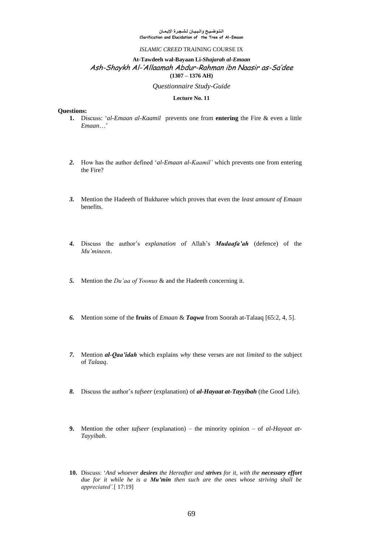#### *ISLAMIC CREED* TRAINING COURSE IX

# **At-Tawdeeh wal-Bayaan Li-***Shajarah al-Emaan* Ash-Shaykh Al-'Allaamah Abdur-Rahman ibn Naasir as-Sa'dee **(1307 – 1376 AH)** *Questionnaire Study-Guide*

# **Lecture No. 11**

- **1.** Discuss: "*al-Emaan al-Kaamil* prevents one from **entering** the Fire & even a little *Emaan*…"
- *2.* How has the author defined "*al-Emaan al-Kaamil"* which prevents one from entering the Fire?
- *3.* Mention the Hadeeth of Bukharee which proves that even the *least amount of Emaan* benefits.
- *4.* Discuss the author"s *explanation* of Allah"s *Mudaafa'ah* (defence) of the *Mu"mineen*.
- *5.* Mention the *Du"aa of Yoonus* & and the Hadeeth concerning it.
- *6.* Mention some of the **fruits** of *Emaan* & *Taqwa* from Soorah at-Talaaq [65:2, 4, 5].
- *7.* Mention *al-Qaa'idah* which explains *why* these verses are not *limited* to the subject of *Talaaq*.
- *8.* Discuss the author"s *tafseer* (explanation) of *al-Hayaat at-Tayyibah* (the Good Life).
- **9.** Mention the other *tafseer* (explanation) the minority opinion of *al-Hayaat at-Tayyibah*.
- **10.** Discuss: "*And whoever desires the Hereafter and strives for it, with the necessary effort due for it while he is a Mu'min then such are the ones whose striving shall be appreciated".*[ 17:19]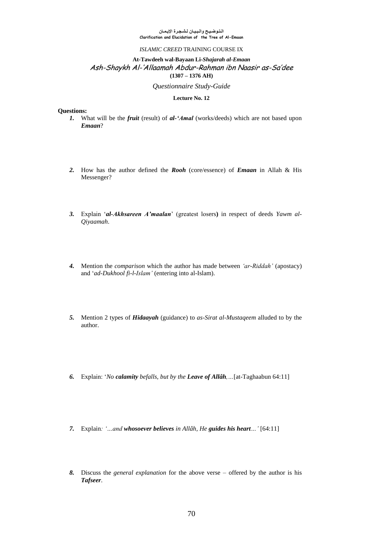#### *ISLAMIC CREED* TRAINING COURSE IX

# **At-Tawdeeh wal-Bayaan Li-***Shajarah al-Emaan* Ash-Shaykh Al-'Allaamah Abdur-Rahman ibn Naasir as-Sa'dee **(1307 – 1376 AH)** *Questionnaire Study-Guide*

# **Lecture No. 12**

- *1.* What will be the *fruit* (result) of *al-'Amal* (works/deeds) which are not based upon *Emaan*?
- *2.* How has the author defined the *Rooh* (core/essence) of *Emaan* in Allah & His Messenger?
- *3.* Explain "*al-Akhsareen A'maalan*" (greatest losers**)** in respect of deeds *Yawm al-Qiyaamah*.
- *4.* Mention the *comparison* which the author has made between *"ar-Riddah"* (apostacy) and "*ad-Dukhool fi-l-Islam"* (entering into al-Islam).
- *5.* Mention 2 types of *Hidaayah* (guidance) to *as-Sirat al-Mustaqeem* alluded to by the author.
- *6.* Explain: "*No calamity befalls, but by the Leave of Allâh,…*[at-Taghaabun 64:11]
- *7.* Explain*: "…and whosoever believes in Allâh*, *He guides his heart…"* [64:11]
- *8.* Discuss the *general explanation* for the above verse offered by the author is his *Tafseer*.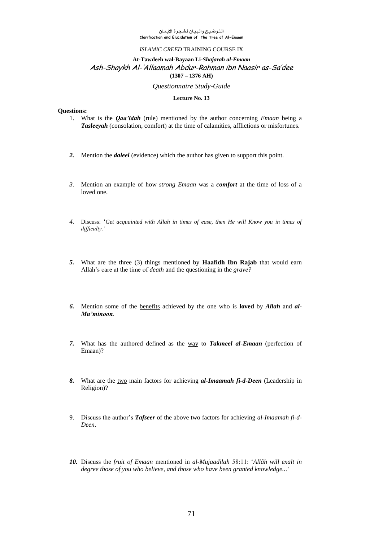### *ISLAMIC CREED* TRAINING COURSE IX

# **At-Tawdeeh wal-Bayaan Li-***Shajarah al-Emaan* Ash-Shaykh Al-'Allaamah Abdur-Rahman ibn Naasir as-Sa'dee **(1307 – 1376 AH)** *Questionnaire Study-Guide*

# **Lecture No. 13**

- 1. What is the *Qaa'idah* (rule) mentioned by the author concerning *Emaan* being a *Tasleeyah* (consolation, comfort) at the time of calamities, afflictions or misfortunes.
- *2.* Mention the *daleel* (evidence) which the author has given to support this point.
- *3.* Mention an example of how *strong Emaan* was a *comfort* at the time of loss of a loved one.
- *4.* Discuss: "*Get acquainted with Allah in times of ease, then He will Know you in times of difficulty."*
- *5.* What are the three (3) things mentioned by **Haafidh Ibn Rajab** that would earn Allah"s care at the time of *death* and the questioning in the *grave?*
- *6.* Mention some of the benefits achieved by the one who is **loved** by *Allah* and *al-Mu'minoon*.
- *7.* What has the authored defined as the way to *Takmeel al-Emaan* (perfection of Emaan)?
- *8.* What are the two main factors for achieving *al-Imaamah fi-d-Deen* (Leadership in Religion)?
- 9. Discuss the author"s *Tafseer* of the above two factors for achieving *al-Imaamah fi-d-Deen*.
- *10.* Discuss the *fruit of Emaan* mentioned in *al-Mujaadilah* 58:11: "*Allâh will exalt in degree those of you who believe, and those who have been granted knowledge...*"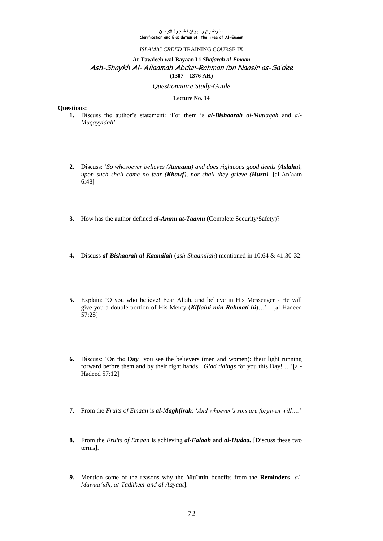#### *ISLAMIC CREED* TRAINING COURSE IX

# **At-Tawdeeh wal-Bayaan Li-***Shajarah al-Emaan* Ash-Shaykh Al-'Allaamah Abdur-Rahman ibn Naasir as-Sa'dee **(1307 – 1376 AH)** *Questionnaire Study-Guide*

#### **Lecture No. 14**

- **1.** Discuss the author"s statement: "For them is *al-Bishaarah al-Mutlaqah* and *al-Muqayyidah*"
- **2.** Discuss: "*So whosoever believes (Aamana) and does righteous good deeds (Aslaha), upon such shall come no fear (Khawf), nor shall they grieve (Huzn).* [al-An"aam 6:48]
- **3.** How has the author defined *al-Amnu at-Taamu* (Complete Security/Safety)?
- **4.** Discuss *al-Bishaarah al-Kaamilah* (*ash-Shaamilah*) mentioned in 10:64 & 41:30-32.
- **5.** Explain: "O you who believe! Fear Allâh, and believe in His Messenger He will give you a double portion of His Mercy (*Kiflaini min Rahmati-hi*)…" [al-Hadeed 57:28]
- **6.** Discuss: "On the **Day** you see the believers (men and women): their light running forward before them and by their right hands. *Glad tidings* for you this Day! …"[al-Hadeed 57:12]
- **7.** From the *Fruits of Emaan* is *al-Maghfirah*: "*And whoever"s sins are forgiven will….*"
- **8.** From the *Fruits of Emaan* is achieving *al-Falaah* and *al-Hudaa.* [Discuss these two terms].
- *9.* Mention some of the reasons why the **Mu'min** benefits from the **Reminders** [*al-Mawaa"idh, at-Tadhkeer and al-Aayaat*].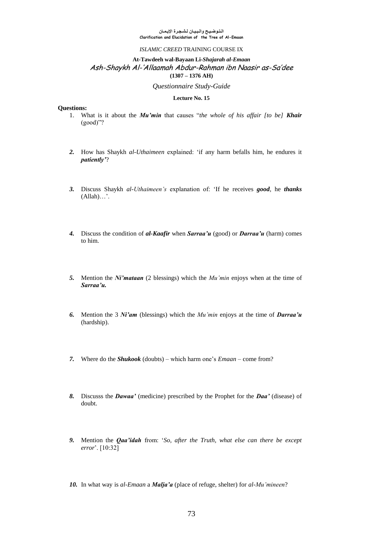#### **الـتـوضـيـح والـبـيـان لـشـجـرة اإليـمـان Clarification and Elucidation of the Tree of Al-Emaan**

### *ISLAMIC CREED* TRAINING COURSE IX

# **At-Tawdeeh wal-Bayaan Li-***Shajarah al-Emaan* Ash-Shaykh Al-'Allaamah Abdur-Rahman ibn Naasir as-Sa'dee **(1307 – 1376 AH)** *Questionnaire Study-Guide*

## **Lecture No. 15**

## **Questions:**

- 1. What is it about the *Mu'min* that causes "*the whole of his affair [to be] Khair* (good)"?
- *2.* How has Shaykh *al-Uthaimeen* explained: "if any harm befalls him, he endures it *patiently'*?
- *3.* Discuss Shaykh *al-Uthaimeen"s* explanation of: "If he receives *good*, he *thanks*  $(Allah)$ … $\cdot$ .
- *4.* Discuss the condition of *al-Kaafir* when *Sarraa'u* (good) or *Darraa'u* (harm) comes to him.
- *5.* Mention the *Ni'mataan* (2 blessings) which the *Mu"min* enjoys when at the time of *Sarraa'u.*
- *6.* Mention the 3 *Ni'am* (blessings) which the *Mu"min* enjoys at the time of *Darraa'u*  (hardship).
- *7.* Where do the *Shukook* (doubts) which harm one"s *Emaan* come from?
- *8.* Discusss the *Dawaa'* (medicine) prescribed by the Prophet for the *Daa'* (disease) of doubt.
- *9.* Mention the *Qaa'idah* from: "*So, after the Truth, what else can there be except error*". [10:32]
- *10.* In what way is *al-Emaan* a *Malja'a* (place of refuge, shelter) for *al-Mu"mineen*?